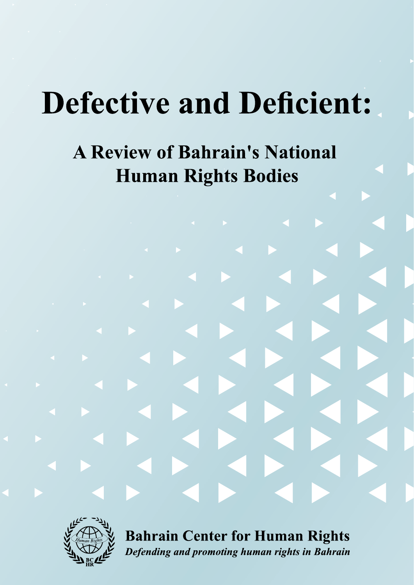# **Defective and Deficient:**

# **A Review of Bahrain's National Human Rights Bodies**



**Bahrain Center for Human Rights** Defending and promoting human rights in Bahrain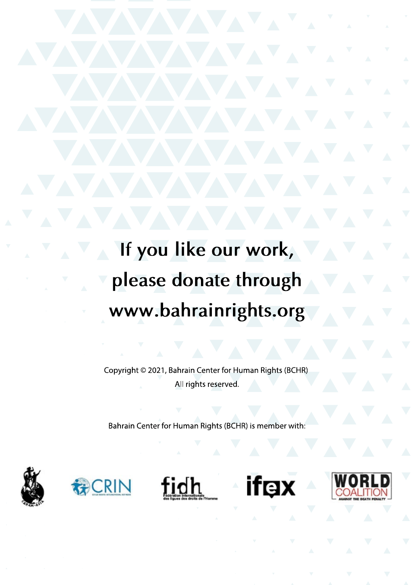If you like our work, please donate through www.bahrainrights.org

Copyright © 2021, Bahrain Center for Human Rights (BCHR) All rights reserved.

Bahrain Center for Human Rights (BCHR) is member with:









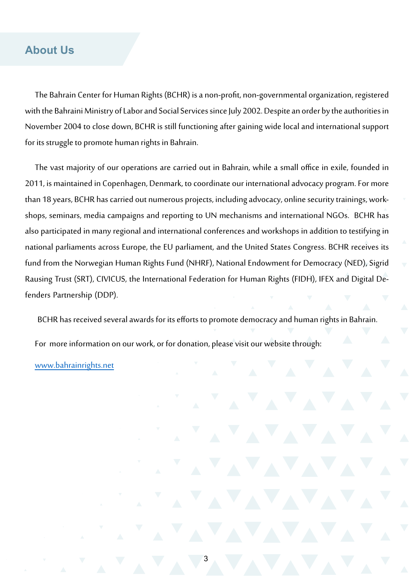#### **About Us**

The Bahrain Center for Human Rights (BCHR) is a non-profit, non-governmental organization, registered with the Bahraini Ministry of Labor and Social Services since July 2002. Despite an order by the authorities in November 2004 to close down, BCHR is still functioning after gaining wide local and international support for its struggle to promote human rights in Bahrain.

The vast majority of our operations are carried out in Bahrain, while a small office in exile, founded in 2011, is maintained in Copenhagen, Denmark, to coordinate our international advocacy program. For more than 18 years, BCHR has carried out numerous projects, including advocacy, online security trainings, workshops, seminars, media campaigns and reporting to UN mechanisms and international NGOs. BCHR has also participated in many regional and international conferences and workshops in addition to testifying in national parliaments across Europe, the EU parliament, and the United States Congress. BCHR receives its fund from the Norwegian Human Rights Fund (NHRF), National Endowment for Democracy (NED), Sigrid Rausing Trust (SRT), CIVICUS, the International Federation for Human Rights (FIDH), IFEX and Digital Defenders Partnership (DDP).

BCHR has received several awards for its efforts to promote democracy and human rights in Bahrain.

For more information on our work, or for donation, please visit our website through:

[www.bahrainrights.net](http://www.bahrainrights.net)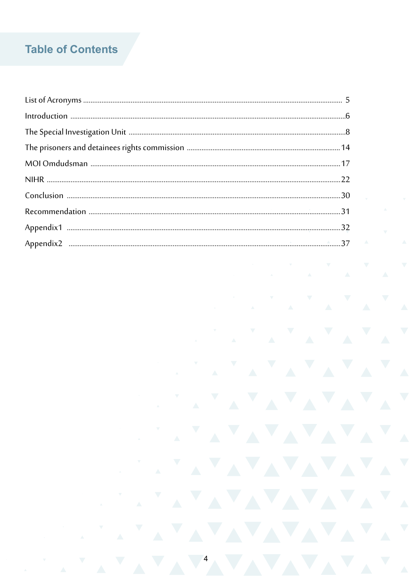# **Table of Contents**

| $\label{eq:1} \mbox{Introduction} \,\, \ldots \,\, \ldots \,\, \ldots \,\, \ldots \,\, \ldots \,\, \ldots \,\, \ldots \,\, \ldots \,\, \ldots \,\, \ldots \,\, \ldots \,\, \ldots \,\, \ldots \,\, \ldots \,\, \ldots \,\, \ldots \,\, \ldots \,\, \ldots \,\, \ldots \,\, \ldots \,\, \ldots \,\, \ldots \,\, \ldots \,\, \ldots \,\, \ldots \,\, \ldots \,\, \ldots \,\, \ldots \,\, \ldots \,\, \ldots \,\, \ldots \,\, \ldots \,\, \ldots \,\, \ldots \,\,$ |  |
|-----------------------------------------------------------------------------------------------------------------------------------------------------------------------------------------------------------------------------------------------------------------------------------------------------------------------------------------------------------------------------------------------------------------------------------------------------------------|--|
|                                                                                                                                                                                                                                                                                                                                                                                                                                                                 |  |
|                                                                                                                                                                                                                                                                                                                                                                                                                                                                 |  |
|                                                                                                                                                                                                                                                                                                                                                                                                                                                                 |  |
|                                                                                                                                                                                                                                                                                                                                                                                                                                                                 |  |
|                                                                                                                                                                                                                                                                                                                                                                                                                                                                 |  |
|                                                                                                                                                                                                                                                                                                                                                                                                                                                                 |  |
|                                                                                                                                                                                                                                                                                                                                                                                                                                                                 |  |
|                                                                                                                                                                                                                                                                                                                                                                                                                                                                 |  |
|                                                                                                                                                                                                                                                                                                                                                                                                                                                                 |  |

AVAVAVAVAVAV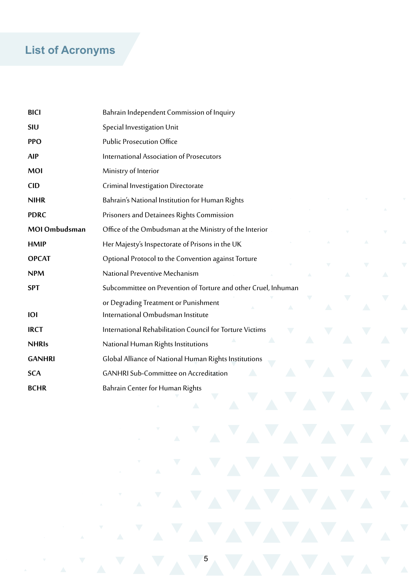# **List of Acronyms**

| <b>BICI</b>   | Bahrain Independent Commission of Inquiry                                      |
|---------------|--------------------------------------------------------------------------------|
| SIU           | Special Investigation Unit                                                     |
| <b>PPO</b>    | <b>Public Prosecution Office</b>                                               |
| <b>AIP</b>    | International Association of Prosecutors                                       |
| <b>MOI</b>    | Ministry of Interior                                                           |
| <b>CID</b>    | Criminal Investigation Directorate                                             |
| <b>NIHR</b>   | Bahrain's National Institution for Human Rights                                |
| <b>PDRC</b>   | Prisoners and Detainees Rights Commission                                      |
| MOI Ombudsman | Office of the Ombudsman at the Ministry of the Interior                        |
| <b>HMIP</b>   | Her Majesty's Inspectorate of Prisons in the UK                                |
| <b>OPCAT</b>  | Optional Protocol to the Convention against Torture                            |
| <b>NPM</b>    | National Preventive Mechanism                                                  |
| <b>SPT</b>    | Subcommittee on Prevention of Torture and other Cruel, Inhuman                 |
| <b>IOI</b>    | or Degrading Treatment or Punishment<br>△<br>International Ombudsman Institute |
| <b>IRCT</b>   | International Rehabilitation Council for Torture Victims                       |
| <b>NHRIs</b>  | National Human Rights Institutions                                             |
| <b>GANHRI</b> | Global Alliance of National Human Rights Institutions                          |
| <b>SCA</b>    | <b>GANHRI Sub-Committee on Accreditation</b>                                   |
| <b>BCHR</b>   | Bahrain Center for Human Rights                                                |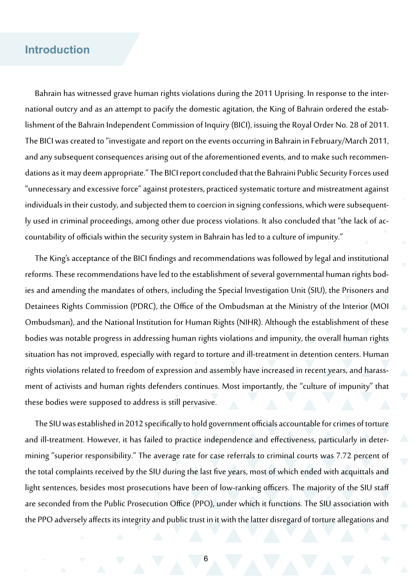#### **Introduction**

Bahrain has witnessed grave human rights violations during the 2011 Uprising. In response to the international outcry and as an attempt to pacify the domestic agitation, the King of Bahrain ordered the establishment of the Bahrain Independent Commission of Inquiry (BICI), issuing the Royal Order No. 28 of 2011. The BICI was created to "investigate and report on the events occurring in Bahrain in February/March 2011, and any subsequent consequences arising out of the aforementioned events, and to make such recommendations as it may deem appropriate." The BICI report concluded that the Bahraini Public Security Forces used "unnecessary and excessive force" against protesters, practiced systematic torture and mistreatment against individuals in their custody, and subjected them to coercion in signing confessions, which were subsequently used in criminal proceedings, among other due process violations. It also concluded that "the lack of accountability of officials within the security system in Bahrain has led to a culture of impunity."

The King's acceptance of the BICI findings and recommendations was followed by legal and institutional reforms. These recommendations have led to the establishment of several governmental human rights bodies and amending the mandates of others, including the Special Investigation Unit (SIU), the Prisoners and Detainees Rights Commission (PDRC), the Office of the Ombudsman at the Ministry of the Interior (MOI Ombudsman), and the National Institution for Human Rights (NIHR). Although the establishment of these bodies was notable progress in addressing human rights violations and impunity, the overall human rights situation has not improved, especially with regard to torture and ill-treatment in detention centers. Human rights violations related to freedom of expression and assembly have increased in recent years, and harassment of activists and human rights defenders continues. Most importantly, the "culture of impunity" that these bodies were supposed to address is still pervasive.

The SIU was established in 2012 specifically to hold government officials accountable for crimes of torture and ill-treatment. However, it has failed to practice independence and effectiveness, particularly in determining "superior responsibility." The average rate for case referrals to criminal courts was 7.72 percent of the total complaints received by the SIU during the last five years, most of which ended with acquittals and light sentences, besides most prosecutions have been of low-ranking officers. The majority of the SIU staff are seconded from the Public Prosecution Office (PPO), under which it functions. The SIU association with the PPO adversely affects its integrity and public trust in it with the latter disregard of torture allegations and

6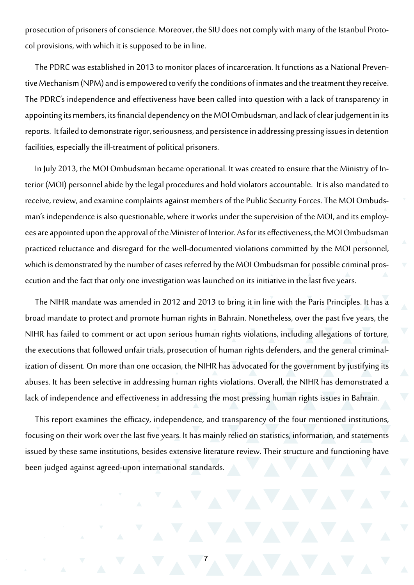prosecution of prisoners of conscience. Moreover, the SIU does not comply with many of the Istanbul Protocol provisions, with which it is supposed to be in line.

The PDRC was established in 2013 to monitor places of incarceration. It functions as a National Preventive Mechanism (NPM) and is empowered to verify the conditions of inmates and the treatment they receive. The PDRC's independence and effectiveness have been called into question with a lack of transparency in appointing its members, its financial dependency on the MOI Ombudsman, and lack of clear judgement in its reports. It failed to demonstrate rigor, seriousness, and persistence in addressing pressing issues in detention facilities, especially the ill-treatment of political prisoners.

In July 2013, the MOI Ombudsman became operational. It was created to ensure that the Ministry of Interior (MOI) personnel abide by the legal procedures and hold violators accountable. It is also mandated to receive, review, and examine complaints against members of the Public Security Forces. The MOI Ombudsman's independence is also questionable, where it works under the supervision of the MOI, and its employees are appointed upon the approval of the Minister of Interior. As for its effectiveness, the MOI Ombudsman practiced reluctance and disregard for the well-documented violations committed by the MOI personnel, which is demonstrated by the number of cases referred by the MOI Ombudsman for possible criminal prosecution and the fact that only one investigation was launched on its initiative in the last five years.

The NIHR mandate was amended in 2012 and 2013 to bring it in line with the Paris Principles. It has a broad mandate to protect and promote human rights in Bahrain. Nonetheless, over the past five years, the NIHR has failed to comment or act upon serious human rights violations, including allegations of torture, the executions that followed unfair trials, prosecution of human rights defenders, and the general criminalization of dissent. On more than one occasion, the NIHR has advocated for the government by justifying its abuses. It has been selective in addressing human rights violations. Overall, the NIHR has demonstrated a lack of independence and effectiveness in addressing the most pressing human rights issues in Bahrain.

This report examines the efficacy, independence, and transparency of the four mentioned institutions, focusing on their work over the last five years. It has mainly relied on statistics, information, and statements issued by these same institutions, besides extensive literature review. Their structure and functioning have been judged against agreed-upon international standards.

7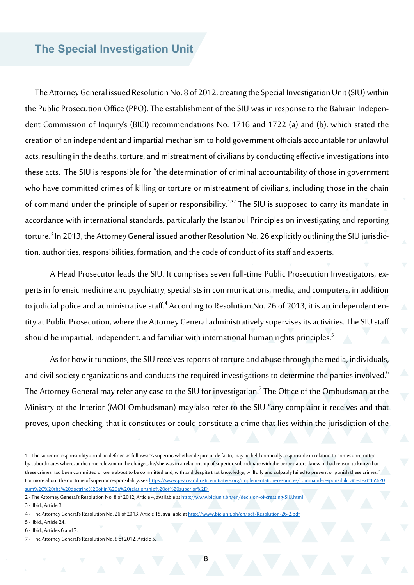### **The Special Investigation Unit**

The Attorney General issued Resolution No. 8 of 2012, creating the Special Investigation Unit (SIU) within the Public Prosecution Office (PPO). The establishment of the SIU was in response to the Bahrain Independent Commission of Inquiry's (BICI) recommendations No. 1716 and 1722 (a) and (b), which stated the creation of an independent and impartial mechanism to hold government officials accountable for unlawful acts, resulting in the deaths, torture, and mistreatment of civilians by conducting effective investigations into these acts. The SIU is responsible for "the determination of criminal accountability of those in government who have committed crimes of killing or torture or mistreatment of civilians, including those in the chain of command under the principle of superior responsibility.<sup>112</sup> The SIU is supposed to carry its mandate in accordance with international standards, particularly the Istanbul Principles on investigating and reporting torture.<sup>3</sup> In 2013, the Attorney General issued another Resolution No. 26 explicitly outlining the SIU jurisdiction, authorities, responsibilities, formation, and the code of conduct of its staff and experts.

A Head Prosecutor leads the SIU. It comprises seven full-time Public Prosecution Investigators, experts in forensic medicine and psychiatry, specialists in communications, media, and computers, in addition to judicial police and administrative staff.<sup>4</sup> According to Resolution No. 26 of 2013, it is a<u>n</u> independ<u>e</u>nt entity at Public Prosecution, where the Attorney General administratively supervises its activities. The SIU staff should be impartial, independent, and familiar with international human rights principles.<sup>5</sup>

As for how it functions, the SIU receives reports of torture and abuse through the media, individuals, and civil society organizations and conducts the required investigations to determine the parties involved.<sup>6</sup> The Attorney General may refer any case to the SIU for investigation. $^7$  The Office of the Ombudsman at the Ministry of the Interior (MOI Ombudsman) may also refer to the SIU "any complaint it receives and that proves, upon checking, that it constitutes or could constitute a crime that lies within the jurisdiction of the

5 - Ibid., Article 24.

<sup>1 -</sup> The superior responsibility could be defined as follows: "A superior, whether de jure or de facto, may be held criminally responsible in relation to crimes committed by subordinates where, at the time relevant to the charges, he/she was in a relationship of superior-subordinate with the perpetrators, knew or had reason to know that these crimes had been committed or were about to be committed and, with and despite that knowledge, willfully and culpably failed to prevent or punish these crimes." For more about the doctrine of superior responsibility, see https://www.peaceandjusticeinitiative.org/implementation-resources/command-responsibility#:~:text=In%20 sum%2C%20the%20doctrine%20of,in%20a%20relationship%20of%20superior%2D

<sup>2 -</sup> The Attorney General's Resolution No. 8 of 2012, Article 4, available at <http://www.biciunit.bh/en/decision-of-creating-SIU.html>

<sup>3</sup> - Ibid., Article 3.

<sup>4 -</sup> The Attorney General's Resolution No. 26 of 2013, Article 15, available at <http://www.biciunit.bh/en/pdf/Resolution-26-2.pdf>

<sup>6</sup> - Ibid., Articles 6 and 7.

<sup>7 -</sup> The Attorney General's Resolution No. 8 of 2012, Article 5.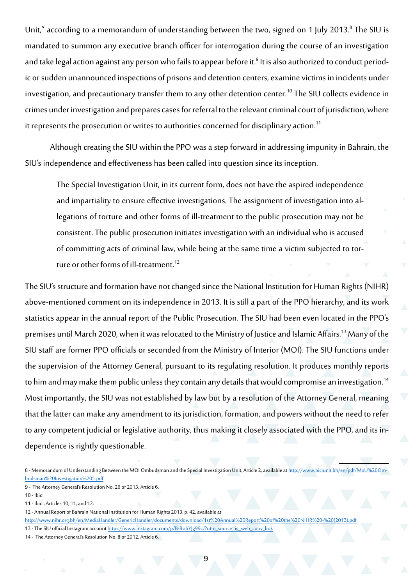Unit," according to a memorandum of understanding between the two, signed on 1 July 2013.<sup>8</sup> The SIU is mandated to summon any executive branch officer for interrogation during the course of an investigation and take legal action against any person who fails to appear before it.<sup>9</sup> It is also authorized to conduct periodic or sudden unannounced inspections of prisons and detention centers, examine victims in incidents under investigation, and precautionary transfer them to any other detention center.<sup>10</sup> The SIU collects evidence in crimes under investigation and prepares cases for referral to the relevant criminal court of jurisdiction, where it represents the prosecution or writes to authorities concerned for disciplinary action.<sup>11</sup>

Although creating the SIU within the PPO was a step forward in addressing impunity in Bahrain, the SIU's independence and effectiveness has been called into question since its inception.

The Special Investigation Unit, in its current form, does not have the aspired independence and impartiality to ensure effective investigations. The assignment of investigation into allegations of torture and other forms of ill-treatment to the public prosecution may not be consistent. The public prosecution initiates investigation with an individual who is accused of committing acts of criminal law, while being at the same time a victim subjected to torture or other forms of ill-treatment.<sup>12</sup>

The SIU's structure and formation have not changed since the National Institution for Human Rights (NIHR) above-mentioned comment on its independence in 2013. It is still a part of the PPO hierarchy, and its work statistics appear in the annual report of the Public Prosecution. The SIU had been even located in the PPO's premises until March 2020, when it was relocated to the Ministry of Justice and Islamic Affairs.<sup>13</sup> Many of the SIU staff are former PPO officials or seconded from the Ministry of Interior (MOI). The SIU functions under the supervision of the Attorney General, pursuant to its regulating resolution. It produces monthly reports to him and may make them public unless they contain any details that would compromise an investigation.<sup>14</sup> Most importantly, the SIU was not established by law but by a resolution of the Attorney General, meaning that the latter can make any amendment to its jurisdiction, formation, and powers without the need to refer to any competent judicial or legislative authority, thus making it closely associated with the PPO, and its independence is rightly questionable.

<sup>8 -</sup> Memorandum of Understanding Between the MOI Ombudsman and the Special Investigation Unit, Article 2, available at [http://www.biciunit.bh/en/pdf/MoU%20Om](http://www.biciunit.bh/en/pdf/MoU%20Ombudsman%20Investigation%201.pdf)[budsman%20Investigation%201.pdf](http://www.biciunit.bh/en/pdf/MoU%20Ombudsman%20Investigation%201.pdf)

<sup>9</sup> - The Attorney General's Resolution No. 26 of 2013, Article 6.

<sup>10 -</sup> Ibid.

<sup>11 -</sup> Ibid., Articles 10, 11, and 12.

<sup>12 -</sup> Annual Report of Bahrain National Institution for Human Rights 2013, p. 42, available at

[http://www.nihr.org.bh/en/MediaHandler/GenericHandler/documents/download/1st%20Annual%20Report%20of%20the%20NIHR%20-%20\(2013\).pdf](http://www.nihr.org.bh/en/MediaHandler/GenericHandler/documents/download/1st%20Annual%20Report%20of%20the%20NIHR%20-%20(2013).pdf)

<sup>13 -</sup> The SIU official Instagram account [https://www.instagram.com/p/B-RohYJg99c/?utm\\_source=ig\\_web\\_copy\\_link](https://www.instagram.com/p/B-RohYJg99c/?utm_source=ig_web_copy_link)

<sup>14 -</sup> The Attorney General's Resolution No. 8 of 2012, Article 6.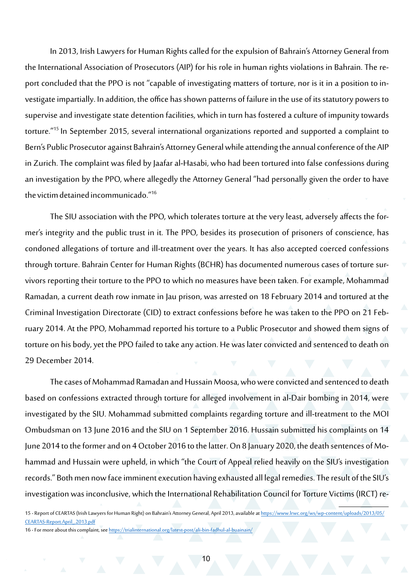In 2013, Irish Lawyers for Human Rights called for the expulsion of Bahrain's Attorney General from the International Association of Prosecutors (AIP) for his role in human rights violations in Bahrain. The report concluded that the PPO is not "capable of investigating matters of torture, nor is it in a position to investigate impartially. In addition, the office has shown patterns of failure in the use of its statutory powers to supervise and investigate state detention facilities, which in turn has fostered a culture of impunity towards torture."15 In September 2015, several international organizations reported and supported a complaint to Bern's Public Prosecutor against Bahrain's Attorney General while attending the annual conference of the AIP in Zurich. The complaint was filed by Jaafar al-Hasabi, who had been tortured into false confessions during an investigation by the PPO, where allegedly the Attorney General "had personally given the order to have the victim detained incommunicado."16

The SIU association with the PPO, which tolerates torture at the very least, adversely affects the former's integrity and the public trust in it. The PPO, besides its prosecution of prisoners of conscience, has condoned allegations of torture and ill-treatment over the years. It has also accepted coerced confessions through torture. Bahrain Center for Human Rights (BCHR) has documented numerous cases of torture survivors reporting their torture to the PPO to which no measures have been taken. For example, Mohammad Ramadan, a current death row inmate in Jau prison, was arrested on 18 February 2014 and tortured at the Criminal Investigation Directorate (CID) to extract confessions before he was taken to the PPO on 21 February 2014. At the PPO, Mohammad reported his torture to a Public Prosecutor and showed them signs of torture on his body, yet the PPO failed to take any action. He was later convicted and sentenced to death on 29 December 2014.

The cases of Mohammad Ramadan and Hussain Moosa, who were convicted and sentenced to death based on confessions extracted through torture for alleged involvement in al-Dair bombing in 2014, were investigated by the SIU. Mohammad submitted complaints regarding torture and ill-treatment to the MOI Ombudsman on 13 June 2016 and the SIU on 1 September 2016. Hussain submitted his complaints on 14 June 2014 to the former and on 4 October 2016 to the latter. On 8 January 2020, the death sentences of Mohammad and Hussain were upheld, in which "the Court of Appeal relied heavily on the SIU's investigation records." Both men now face imminent execution having exhausted all legal remedies.The result of the SIU's investigation was inconclusive, which the International Rehabilitation Council for Torture Victims (IRCT) re-

<sup>15 -</sup> Report of CEARTAS (Irish Lawyers for Human Right) on Bahrain's Attorney General, April 2013, available at [https://www.lrwc.org/ws/wp-content/uploads/2013/05/](https://www.lrwc.org/ws/wp-content/uploads/2013/05/CEARTAS-Report.April_.2013.pdf) [CEARTAS-Report.April\\_.2013.pdf](https://www.lrwc.org/ws/wp-content/uploads/2013/05/CEARTAS-Report.April_.2013.pdf)

<sup>16 -</sup> For more about this complaint, see <https://trialinternational.org/latest-post/ali-bin-fadhul-al-buainain/>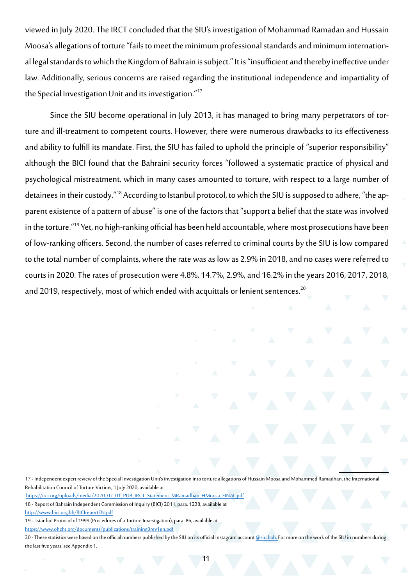viewed in July 2020. The IRCT concluded that the SIU's investigation of Mohammad Ramadan and Hussain Moosa's allegations of torture "fails to meet the minimum professional standards and minimum international legal standards to which the Kingdom of Bahrain is subject." It is "insufficient and thereby ineffective under law. Additionally, serious concerns are raised regarding the institutional independence and impartiality of the Special Investigation Unit and its investigation."<sup>17</sup>

Since the SIU become operational in July 2013, it has managed to bring many perpetrators of torture and ill-treatment to competent courts. However, there were numerous drawbacks to its effectiveness and ability to fulfill its mandate. First, the SIU has failed to uphold the principle of "superior responsibility" although the BICI found that the Bahraini security forces "followed a systematic practice of physical and psychological mistreatment, which in many cases amounted to torture, with respect to a large number of detainees in their custody."18 According to Istanbul protocol, to which the SIU is supposed to adhere, "the apparent existence of a pattern of abuse" is one of the factors that "support a belief that the state was involved in the torture."19 Yet, no high-ranking official has been held accountable, where most prosecutions have been of low-ranking officers. Second, the number of cases referred to criminal courts by the SIU is low compared to the total number of complaints, where the rate was as low as 2.9% in 2018, and no cases were referred to courts in 2020. The rates of prosecution were 4.8%, 14.7%, 2.9%, and 16.2% in the years 2016, 2017, 2018, and 2019, respectively, most of which ended with acquittals or lenient sentences.<sup>20</sup>

17 - Independent expert review of the Special Investigation Unit's investigation into torture allegations of Hussain Moosa and Mohammed Ramadhan, the International Rehabilitation Council of Torture Victims, 1 July 2020, available at

[https://irct.org/uploads/media/2020\\_07\\_01\\_PUB\\_IRCT\\_Statement\\_MRamadhan\\_HMoosa\\_FINAL.pdf](https://irct.org/uploads/media/2020_07_01_PUB_IRCT_Statement_MRamadhan_HMoosa_FINAL.pdf)

18 - Report of Bahrain Independent Commission of Inquiry (BICI) 2011, para. 1238, available at

<http://www.bici.org.bh/BICIreportEN.pdf>

19 - Istanbul Protocol of 1999 (Procedures of a Torture Investigation), para. 86, available at

<https://www.ohchr.org/documents/publications/training8rev1en.pdf>

20 - These statistics were based on the official numbers published by the SIU on its official Instagram account @[siu.bah.](https://www.instagram.com/siu.bah/) For more on the work of the SIU in numbers during the last five years, see Appendix 1.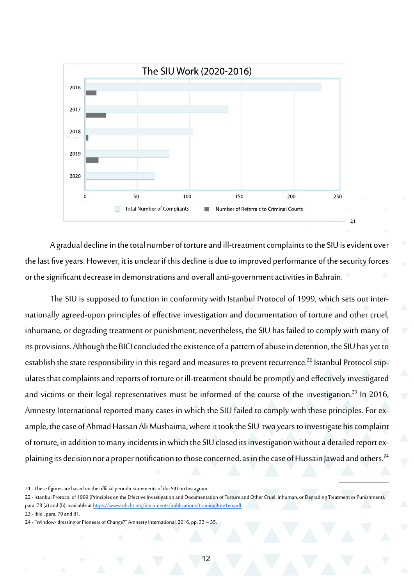

A gradual decline in the total number of torture and ill-treatment complaints to the SIU is evident over the last five years. However, it is unclear if this decline is due to improved performance of the security forces or the significant decrease in demonstrations and overall anti-government activities in Bahrain.

The SIU is supposed to function in conformity with Istanbul Protocol of 1999, which sets out internationally agreed-upon principles of effective investigation and documentation of torture and other cruel, inhumane, or degrading treatment or punishment; nevertheless, the SIU has failed to comply with many of its provisions. Although the BICI concluded the existence of a pattern of abuse in detention, the SIU has yet to establish the state responsibility in this regard and measures to prevent recurrence.<sup>22</sup> Istanbul Protocol stipulates that complaints and reports of torture or ill-treatment should be promptly and effectively investigated and victims or their legal representatives must be informed of the course of the investigation.<sup>23</sup> In 2016, Amnesty International reported many cases in which the SIU failed to comply with these principles. For example, the case of Ahmad Hassan Ali Mushaima, where it took the SIU two years to investigate his complaint of torture, in addition to many incidents in which the SIU closed its investigation without a detailed report explaining its decision nor a proper notification to those concerned, as in the case of Hussain Jawad and others.<sup>24</sup>

<sup>21 -</sup> These figures are based on the official periodic statements of the SIU on Instagram.

<sup>22 -</sup> Istanbul Protocol of 1999 (Principles on the Effective Investigation and Documentation of Torture and Other Cruel, Inhuman, or Degrading Treatment or Punishment), para. 78 (a) and (b), available at <https://www.ohchr.org/documents/publications/training8rev1en.pdf>

<sup>23 -</sup> Ibid., para. 79 and 81.

<sup>24 - &</sup>quot;Window- dressing or Pioneers of Change?" Amnesty International, 2016, pp. 33 -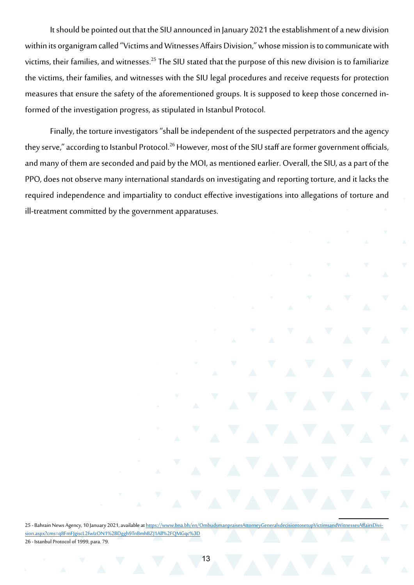It should be pointed out that the SIU announced in January 2021 the establishment of a new division within its organigram called "Victims and Witnesses Affairs Division," whose mission is to communicate with victims, their families, and witnesses.<sup>25</sup> The SIU stated that the purpose of this new division is to familiarize the victims, their families, and witnesses with the SIU legal procedures and receive requests for protection measures that ensure the safety of the aforementioned groups. It is supposed to keep those concerned informed of the investigation progress, as stipulated in Istanbul Protocol.

Finally, the torture investigators "shall be independent of the suspected perpetrators and the agency they serve," according to Istanbul Protocol.<sup>26</sup> However, most of the SIU staff are former government officials, and many of them are seconded and paid by the MOI, as mentioned earlier. Overall, the SIU, as a part of the PPO, does not observe many international standards on investigating and reporting torture, and it lacks the required independence and impartiality to conduct effective investigations into allegations of torture and ill-treatment committed by the government apparatuses.

25 - Bahrain News Agency, 10 January 2021, available at [https://www.bna.bh/en/OmbudsmanpraisesAttorneyGeneralsdecisiontosetupVictimsandWitnessesAffairsDivi](https://www.bna.bh/en/OmbudsmanpraisesAttorneyGeneralsdecisiontosetupVictimsandWitnessesAffairsDivision.aspx?cms=q8FmFJgiscL2fwIzON1%2BDggh9TnBmhBZJ1All%2FQMGqc%3D)[sion.aspx?cms=q8FmFJgiscL2fwIzON1%2BDggh9TnBmhBZJ1All%2FQMGqc%3D](https://www.bna.bh/en/OmbudsmanpraisesAttorneyGeneralsdecisiontosetupVictimsandWitnessesAffairsDivision.aspx?cms=q8FmFJgiscL2fwIzON1%2BDggh9TnBmhBZJ1All%2FQMGqc%3D) 26 - Istanbul Protocol of 1999, para. 79.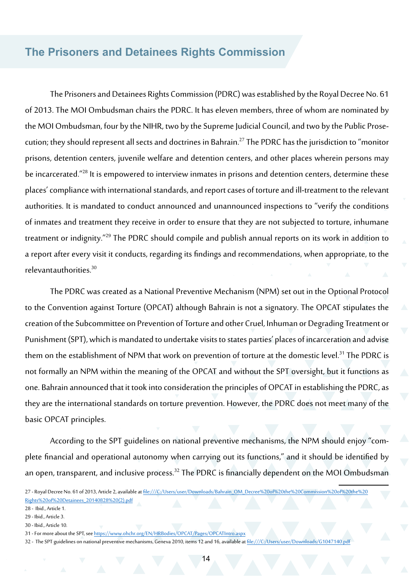#### **The Prisoners and Detainees Rights Commission**

The Prisoners and Detainees Rights Commission (PDRC) was established by the Royal Decree No. 61 of 2013. The MOI Ombudsman chairs the PDRC. It has eleven members, three of whom are nominated by the MOI Ombudsman, four by the NIHR, two by the Supreme Judicial Council, and two by the Public Prosecution; they should represent all sects and doctrines in Bahrain.27 The PDRC has the jurisdiction to "monitor prisons, detention centers, juvenile welfare and detention centers, and other places wherein persons may be incarcerated."28 It is empowered to interview inmates in prisons and detention centers, determine these places' compliance with international standards, and report cases of torture and ill-treatment to the relevant authorities. It is mandated to conduct announced and unannounced inspections to "verify the conditions of inmates and treatment they receive in order to ensure that they are not subjected to torture, inhumane treatment or indignity."29 The PDRC should compile and publish annual reports on its work in addition to a report after every visit it conducts, regarding its findings and recommendations, when appropriate, to the relevant authorities.<sup>30</sup>

The PDRC was created as a National Preventive Mechanism (NPM) set out in the Optional Protocol to the Convention against Torture (OPCAT) although Bahrain is not a signatory. The OPCAT stipulates the creation of the Subcommittee on Prevention of Torture and other Cruel, Inhuman or Degrading Treatment or Punishment (SPT), which is mandated to undertake visits to states parties' places of incarceration and advise them on the establishment of NPM that work on prevention of torture at the domestic level.<sup>31</sup> The PDRC is not formally an NPM within the meaning of the OPCAT and without the SPT oversight, but it functions as one. Bahrain announced that it took into consideration the principles of OPCAT in establishing the PDRC, as they are the international standards on torture prevention. However, the PDRC does not meet many of the basic OPCAT principles.

According to the SPT guidelines on national preventive mechanisms, the NPM should enjoy "complete financial and operational autonomy when carrying out its functions," and it should be identified by an open, transparent, and inclusive process.<sup>32</sup> The PDRC is financially dependent on the MOI Ombudsman

<sup>27 -</sup> Royal Decree No. 61 of 2013, Article 2, available at [file:///C:/Users/user/Downloads/Bahrain\\_OM\\_Decree%20of%20the%20Commission%20of%20the%20](file:///C:/Users/user/Downloads/Bahrain_OM_Decree%20of%20the%20Commission%20of%20the%20Rights%20of%20Detainees_20140828%20(2).pdf) [Rights%20of%20Detainees\\_20140828%20\(2\).pdf](file:///C:/Users/user/Downloads/Bahrain_OM_Decree%20of%20the%20Commission%20of%20the%20Rights%20of%20Detainees_20140828%20(2).pdf)

<sup>28 -</sup> Ibid., Article 1.

<sup>29 -</sup> Ibid., Article 3.

<sup>30 -</sup> Ibid., Article 10.

<sup>31 -</sup> For more about the SPT, see<https://www.ohchr.org/EN/HRBodies/OPCAT/Pages/OPCATIntro.aspx>

<sup>32 -</sup> The SPT guidelines on national preventive mechanisms, Geneva 2010, items 12 and 16, available at <file:///C:/Users/user/Downloads/G1047140.pdf>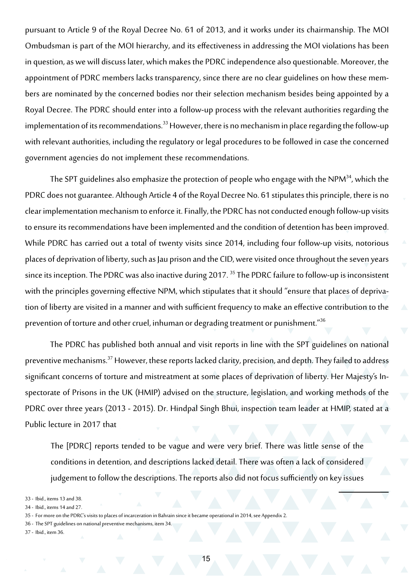pursuant to Article 9 of the Royal Decree No. 61 of 2013, and it works under its chairmanship. The MOI Ombudsman is part of the MOI hierarchy, and its effectiveness in addressing the MOI violations has been in question, as we will discuss later, which makes the PDRC independence also questionable. Moreover, the appointment of PDRC members lacks transparency, since there are no clear guidelines on how these members are nominated by the concerned bodies nor their selection mechanism besides being appointed by a Royal Decree. The PDRC should enter into a follow-up process with the relevant authorities regarding the implementation of its recommendations.<sup>33</sup> However, there is no mechanism in place regarding the follow-up with relevant authorities, including the regulatory or legal procedures to be followed in case the concerned government agencies do not implement these recommendations.

The SPT guidelines also emphasize the protection of people who engage with the NPM $34$ , which the PDRC does not guarantee. Although Article 4 of the Royal Decree No. 61 stipulates this principle, there is no clear implementation mechanism to enforce it. Finally, the PDRC has not conducted enough follow-up visits to ensure its recommendations have been implemented and the condition of detention has been improved. While PDRC has carried out a total of twenty visits since 2014, including four follow-up visits, notorious places of deprivation of liberty, such as Jau prison and the CID, were visited once throughout the seven years since its inception. The PDRC was also inactive during 2017.<sup>35</sup> The PDRC failure to follow-up is inconsistent with the principles governing effective NPM, which stipulates that it should "ensure that places of deprivation of liberty are visited in a manner and with sufficient frequency to make an effective contribution to the prevention of torture and other cruel, inhuman or degrading treatment or punishment."<sup>36</sup>

The PDRC has published both annual and visit reports in line with the SPT guidelines on national preventive mechanisms.37 However, these reports lacked clarity, precision, and depth. They failed to address significant concerns of torture and mistreatment at some places of deprivation of liberty. Her Majesty's Inspectorate of Prisons in the UK (HMIP) advised on the structure, legislation, and working methods of the PDRC over three years (2013 - 2015). Dr. Hindpal Singh Bhui, inspection team leader at HMIP, stated at a Public lecture in 2017 that

The [PDRC] reports tended to be vague and were very brief. There was little sense of the conditions in detention, and descriptions lacked detail. There was often a lack of considered judgement to follow the descriptions. The reports also did not focus sufficiently on key issues

33 - Ibid., items 13 and 38.

- 36 The SPT guidelines on national preventive mechanisms, item 34.
- 37 Ibid., item 36.

<sup>34 -</sup> Ibid., items 14 and 27.

<sup>35</sup> - For more on the PDRC's visits to places of incarceration in Bahrain since it became operational in 2014, see Appendix 2.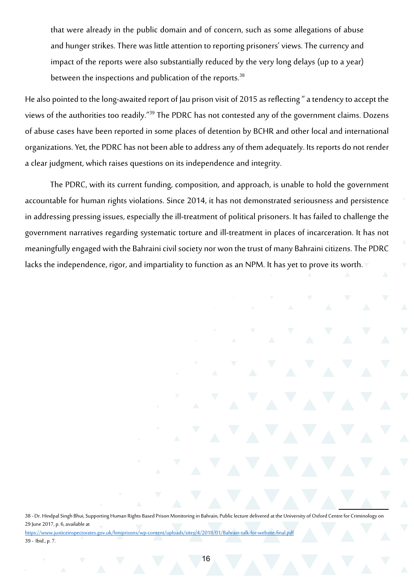that were already in the public domain and of concern, such as some allegations of abuse and hunger strikes. There was little attention to reporting prisoners' views. The currency and impact of the reports were also substantially reduced by the very long delays (up to a year) between the inspections and publication of the reports.<sup>38</sup>

He also pointed to the long-awaited report of Jau prison visit of 2015 as reflecting " a tendency to accept the views of the authorities too readily."<sup>39</sup> The PDRC has not contested any of the government claims. Dozens of abuse cases have been reported in some places of detention by BCHR and other local and international organizations. Yet, the PDRC has not been able to address any of them adequately. Its reports do not render a clear judgment, which raises questions on its independence and integrity.

The PDRC, with its current funding, composition, and approach, is unable to hold the government accountable for human rights violations. Since 2014, it has not demonstrated seriousness and persistence in addressing pressing issues, especially the ill-treatment of political prisoners. It has failed to challenge the government narratives regarding systematic torture and ill-treatment in places of incarceration. It has not meaningfully engaged with the Bahraini civil society nor won the trust of many Bahraini citizens. The PDRC lacks the independence, rigor, and impartiality to function as an NPM. It has yet to prove its worth.

38 - Dr. Hindpal Singh Bhui, Supporting Human Rights Based Prison Monitoring in Bahrain, Public lecture delivered at the University of Oxford Centre for Criminology on 29 June 2017, p. 6, available at <https://www.justiceinspectorates.gov.uk/hmiprisons/wp-content/uploads/sites/4/2018/01/Bahrain-talk-for-website-final.pdf> 39 - Ibid., p. 7.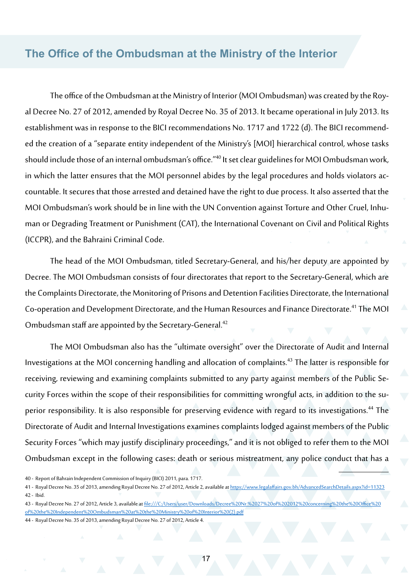#### **The Office of the Ombudsman at the Ministry of the Interior**

The office of the Ombudsman at the Ministry of Interior (MOI Ombudsman) was created by the Royal Decree No. 27 of 2012, amended by Royal Decree No. 35 of 2013. It became operational in July 2013. Its establishment was in response to the BICI recommendations No. 1717 and 1722 (d). The BICI recommended the creation of a "separate entity independent of the Ministry's [MOI] hierarchical control, whose tasks should include those of an internal ombudsman's office."40 It set clear guidelines for MOI Ombudsman work, in which the latter ensures that the MOI personnel abides by the legal procedures and holds violators accountable. It secures that those arrested and detained have the right to due process. It also asserted that the MOI Ombudsman's work should be in line with the UN Convention against Torture and Other Cruel, Inhuman or Degrading Treatment or Punishment (CAT), the International Covenant on Civil and Political Rights (ICCPR), and the Bahraini Criminal Code.

The head of the MOI Ombudsman, titled Secretary-General, and his/her deputy are appointed by Decree. The MOI Ombudsman consists of four directorates that report to the Secretary-General, which are the Complaints Directorate, the Monitoring of Prisons and Detention Facilities Directorate, the International Co-operation and Development Directorate, and the Human Resources and Finance Directorate.41 The MOI Ombudsman staff are appointed by the Secretary-General.<sup>42</sup>

The MOI Ombudsman also has the "ultimate oversight" over the Directorate of Audit and Internal Investigations at the MOI concerning handling and allocation of complaints.<sup>43</sup> The latter is responsible for receiving, reviewing and examining complaints submitted to any party against members of the Public Security Forces within the scope of their responsibilities for committing wrongful acts, in addition to the superior responsibility. It is also responsible for preserving evidence with regard to its investigations.<sup>44</sup> The Directorate of Audit and Internal Investigations examines complaints lodged against members of the Public Security Forces "which may justify disciplinary proceedings," and it is not obliged to refer them to the MOI Ombudsman except in the following cases: death or serious mistreatment, any police conduct that has a

<sup>40 -</sup> Report of Bahrain Independent Commission of Inquiry (BICI) 2011, para. 1717.

<sup>41 -</sup> Royal Decree No. 35 of 2013, amending Royal Decree No. 27 of 2012, Article 2, available at<https://www.legalaffairs.gov.bh/AdvancedSearchDetails.aspx?id=11323> 42 - Ibid.

<sup>43 -</sup> Royal Decree No. 27 of 2012, Article 3, available at [file:///C:/Users/user/Downloads/Decree%20Nr.%2027%20of%202012%20concerning%20the%20Office%20](file:///C:/Users/user/Downloads/Decree%20Nr.%2027%20of%202012%20concerning%20the%20Office%20of%20the%20Independent%20Ombudsman%20at%20the%20Ministry%20of%20Interior%20(2).pdf) [of%20the%20Independent%20Ombudsman%20at%20the%20Ministry%20of%20Interior%20\(2\).pdf](file:///C:/Users/user/Downloads/Decree%20Nr.%2027%20of%202012%20concerning%20the%20Office%20of%20the%20Independent%20Ombudsman%20at%20the%20Ministry%20of%20Interior%20(2).pdf)

<sup>44 -</sup> Royal Decree No. 35 of 2013, amending Royal Decree No. 27 of 2012, Article 4.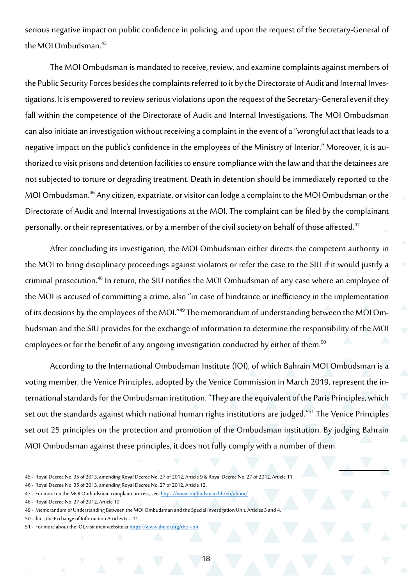serious negative impact on public confidence in policing, and upon the request of the Secretary-General of the MOI Ombudsman.<sup>45</sup>

The MOI Ombudsman is mandated to receive, review, and examine complaints against members of the Public Security Forces besides the complaints referred to it by the Directorate of Audit and Internal Investigations. It is empowered to review serious violations upon the request of the Secretary-General even if they fall within the competence of the Directorate of Audit and Internal Investigations. The MOI Ombudsman can also initiate an investigation without receiving a complaint in the event of a "wrongful act that leads to a negative impact on the public's confidence in the employees of the Ministry of Interior." Moreover, it is authorized to visit prisons and detention facilities to ensure compliance with the law and that the detainees are not subjected to torture or degrading treatment. Death in detention should be immediately reported to the MOI Ombudsman.46 Any citizen, expatriate, or visitor can lodge a complaint to the MOI Ombudsman or the Directorate of Audit and Internal Investigations at the MOI. The complaint can be filed by the complainant personally, or their representatives, or by a member of the civil society on behalf of those affected.<sup>47</sup>

After concluding its investigation, the MOI Ombudsman either directs the competent authority in the MOI to bring disciplinary proceedings against violators or refer the case to the SIU if it would justify a criminal prosecution.48 In return, the SIU notifies the MOI Ombudsman of any case where an employee of the MOI is accused of committing a crime, also "in case of hindrance or inefficiency in the implementation of its decisions by the employees of the MOI."49 The memorandum of understanding between the MOI Ombudsman and the SIU provides for the exchange of information to determine the responsibility of the MOI employees or for the benefit of any ongoing investigation conducted by either of them.<sup>50</sup>

According to the International Ombudsman Institute (IOI), of which Bahrain MOI Ombudsman is a voting member, the Venice Principles, adopted by the Venice Commission in March 2019, represent the international standards for the Ombudsman institution. "They are the equivalent of the Paris Principles, which set out the standards against which national human rights institutions are judged."51 The Venice Principles set out 25 principles on the protection and promotion of the Ombudsman institution. By judging Bahrain MOI Ombudsman against these principles, it does not fully comply with a number of them.

51 - For more about the IOI, visit their website at [https://www.theioi.org/the-](https://www.theioi.org/the-i-o-i)i-o-i

18

<sup>45 -</sup> Royal Decree No. 35 of 2013, amending Royal Decree No. 27 of 2012, Article 9 & Royal Decree No. 27 of 2012, Article 11.

<sup>46 -</sup> Royal Decree No. 35 of 2013, amending Royal Decree No. 27 of 2012, Article 12.

<sup>47 -</sup> For more on the MOI Ombudsman complaint process, see <https://www.ombudsman.bh/en/about/>

<sup>48 -</sup> Royal Decree No. 27 of 2012, Article 10.

<sup>49 -</sup> Memorandum of Understanding Between the MOI Ombudsman and the Special Investigation Unit, Articles 3 and 4.

<sup>50 -</sup> Ibid., the Exchange of Information Articles 6 – 11.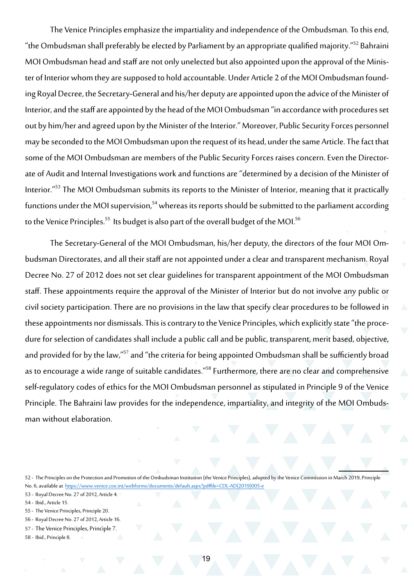The Venice Principles emphasize the impartiality and independence of the Ombudsman. To this end, "the Ombudsman shall preferably be elected by Parliament by an appropriate qualified majority."52 Bahraini MOI Ombudsman head and staff are not only unelected but also appointed upon the approval of the Minister of Interior whom they are supposed to hold accountable. Under Article 2 of the MOI Ombudsman founding Royal Decree, the Secretary-General and his/her deputy are appointed upon the advice of the Minister of Interior, and the staff are appointed by the head of the MOI Ombudsman "in accordance with procedures set out by him/her and agreed upon by the Minister of the Interior." Moreover, Public Security Forces personnel may be seconded to the MOI Ombudsman upon the request of its head, under the same Article. The fact that some of the MOI Ombudsman are members of the Public Security Forces raises concern. Even the Directorate of Audit and Internal Investigations work and functions are "determined by a decision of the Minister of Interior."<sup>53</sup> The MOI Ombudsman submits its reports to the Minister of Interior, meaning that it practically functions under the MOI supervision,<sup>54</sup> whereas its reports should be submitted to the parliament according to the Venice Principles.<sup>55</sup> Its budget is also part of the overall budget of the MOI.<sup>56</sup>

The Secretary-General of the MOI Ombudsman, his/her deputy, the directors of the four MOI Ombudsman Directorates, and all their staff are not appointed under a clear and transparent mechanism. Royal Decree No. 27 of 2012 does not set clear guidelines for transparent appointment of the MOI Ombudsman staff. These appointments require the approval of the Minister of Interior but do not involve any public or civil society participation. There are no provisions in the law that specify clear procedures to be followed in these appointments nor dismissals. This is contrary to the Venice Principles, which explicitly state "the procedure for selection of candidates shall include a public call and be public, transparent, merit based, objective, and provided for by the law,"<sup>57</sup> and "the criteria for being appointed Ombudsman shall be sufficiently broad as to encourage a wide range of suitable candidates."<sup>58</sup> Furthermore, there are no clear and comprehensive self-regulatory codes of ethics for the MOI Ombudsman personnel as stipulated in Principle 9 of the Venice Principle. The Bahraini law provides for the independence, impartiality, and integrity of the MOI Ombudsman without elaboration.

- 56 Royal Decree No. 27 of 2012, Article 16.
- 57 The Venice Principles, Principle 7.
- 58 Ibid., Principle 8.

<sup>52 -</sup> The Principles on the Protection and Promotion of the Ombudsman Institution (the Venice Principles), adopted by the Venice Commission in March 2019, Principle No. 6, available at [https://www.venice.coe.int/webforms/documents/default.aspx?pdffile=CDL-AD\(2019\)005-e](https://www.venice.coe.int/webforms/documents/default.aspx?pdffile=CDL-AD(2019)005-e)

<sup>53</sup> - Royal Decree No. 27 of 2012, Article 4.

<sup>54 -</sup> Ibid., Article 15.

<sup>55</sup> - The Venice Principles, Principle 20.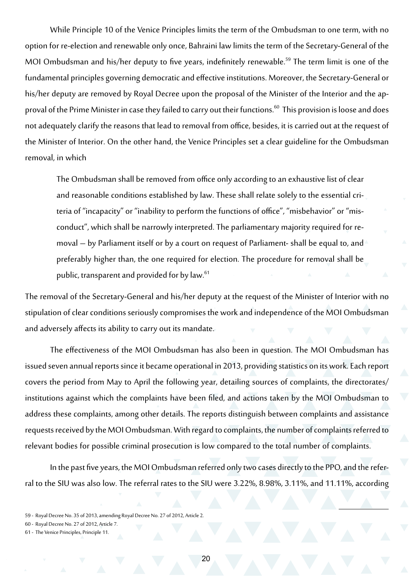While Principle 10 of the Venice Principles limits the term of the Ombudsman to one term, with no option for re-election and renewable only once, Bahraini law limits the term of the Secretary-General of the MOI Ombudsman and his/her deputy to five years, indefinitely renewable.<sup>59</sup> The term limit is one of the fundamental principles governing democratic and effective institutions. Moreover, the Secretary-General or his/her deputy are removed by Royal Decree upon the proposal of the Minister of the Interior and the approval of the Prime Minister in case they failed to carry out their functions.<sup>60</sup> This provision is loose and does not adequately clarify the reasons that lead to removal from office, besides, it is carried out at the request of the Minister of Interior. On the other hand, the Venice Principles set a clear guideline for the Ombudsman removal, in which

The Ombudsman shall be removed from office only according to an exhaustive list of clear and reasonable conditions established by law. These shall relate solely to the essential criteria of "incapacity" or "inability to perform the functions of office", "misbehavior" or "misconduct", which shall be narrowly interpreted. The parliamentary majority required for removal – by Parliament itself or by a court on request of Parliament- shall be equal to, and preferably higher than, the one required for election. The procedure for removal shall be public, transparent and provided for by law.<sup>61</sup>

The removal of the Secretary-General and his/her deputy at the request of the Minister of Interior with no stipulation of clear conditions seriously compromises the work and independence of the MOI Ombudsman and adversely affects its ability to carry out its mandate.

The effectiveness of the MOI Ombudsman has also been in question. The MOI Ombudsman has issued seven annual reports since it became operational in 2013, providing statistics on its work. Each report covers the period from May to April the following year, detailing sources of complaints, the directorates/ institutions against which the complaints have been filed, and actions taken by the MOI Ombudsman to address these complaints, among other details. The reports distinguish between complaints and assistance requests received by the MOI Ombudsman. With regard to complaints, the number of complaints referred to relevant bodies for possible criminal prosecution is low compared to the total number of complaints.

In the past five years, the MOI Ombudsman referred only two cases directly to the PPO, and the referral to the SIU was also low. The referral rates to the SIU were 3.22%, 8.98%, 3.11%, and 11.11%, according

<sup>59</sup> - Royal Decree No. 35 of 2013, amending Royal Decree No. 27 of 2012, Article 2.

<sup>60 -</sup> Royal Decree No. 27 of 2012, Article 7.

<sup>61 -</sup> The Venice Principles, Principle 11.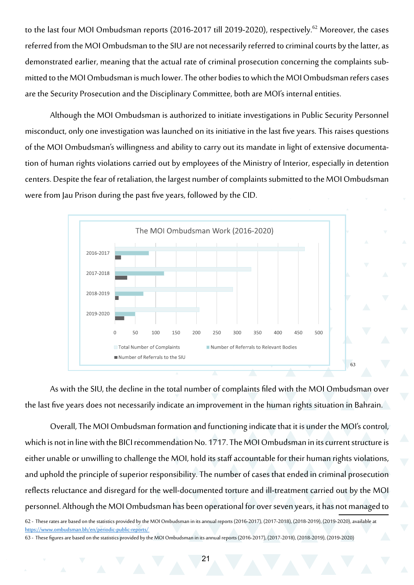to the last four MOI Ombudsman reports (2016-2017 till 2019-2020), respectively.<sup>62</sup> Moreover, the cases referred from the MOI Ombudsman to the SIU are not necessarily referred to criminal courts by the latter, as demonstrated earlier, meaning that the actual rate of criminal prosecution concerning the complaints submitted to the MOI Ombudsman is much lower. The other bodies to which the MOI Ombudsman refers cases are the Security Prosecution and the Disciplinary Committee, both are MOI's internal entities.

Although the MOI Ombudsman is authorized to initiate investigations in Public Security Personnel misconduct, only one investigation was launched on its initiative in the last five years. This raises questions of the MOI Ombudsman's willingness and ability to carry out its mandate in light of extensive documentation of human rights violations carried out by employees of the Ministry of Interior, especially in detention centers. Despite the fear of retaliation, the largest number of complaints submitted to the MOI Ombudsman were from Jau Prison during the past five years, followed by the CID.



As with the SIU, the decline in the total number of complaints filed with the MOI Ombudsman over the last five years does not necessarily indicate an improvement in the human rights situation in Bahrain.

Overall, The MOI Ombudsman formation and functioning indicate that it is under the MOI's control, which is not in line with the BICI recommendation No. 1717. The MOI Ombudsman in its current structure is either unable or unwilling to challenge the MOI, hold its staff accountable for their human rights violations, and uphold the principle of superior responsibility. The number of cases that ended in criminal prosecution reflects reluctance and disregard for the well-documented torture and ill-treatment carried out by the MOI personnel. Although the MOI Ombudsman has been operational for over seven years, it has not managed to

62 - These rates are based on the statistics provided by the MOI Ombudsman in its annual reports (2016-2017), (2017-2018), (2018-2019), (2019-2020), available at <https://www.ombudsman.bh/en/periodic-public-reports/>

63 - These figures are based on the statistics provided by the MOI Ombudsman in its annual reports (2016-2017), (2017-2018), (2018-2019), (2019-2020)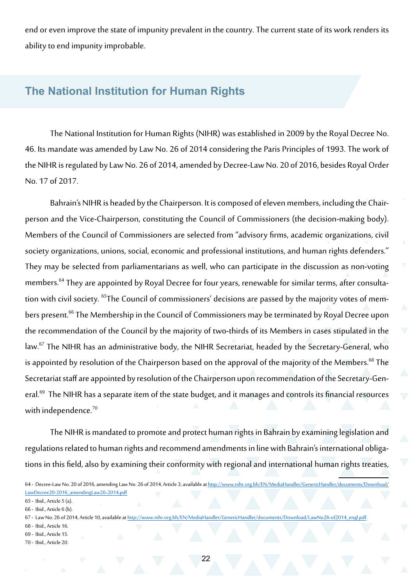end or even improve the state of impunity prevalent in the country. The current state of its work renders its ability to end impunity improbable.

#### **The National Institution for Human Rights**

The National Institution for Human Rights (NIHR) was established in 2009 by the Royal Decree No. 46. Its mandate was amended by Law No. 26 of 2014 considering the Paris Principles of 1993. The work of the NIHR is regulated by Law No. 26 of 2014, amended by Decree-Law No. 20 of 2016, besides Royal Order No. 17 of 2017.

Bahrain's NIHR is headed by the Chairperson. It is composed of eleven members, including the Chairperson and the Vice-Chairperson, constituting the Council of Commissioners (the decision-making body). Members of the Council of Commissioners are selected from "advisory firms, academic organizations, civil society organizations, unions, social, economic and professional institutions, and human rights defenders." They may be selected from parliamentarians as well, who can participate in the discussion as non-voting members.<sup>64</sup> They are appointed by Royal Decree for four years, renewable for similar terms, after consultation with civil society. <sup>65</sup>The Council of commissioners' decisions are passed by the majority votes of members present.<sup>66</sup> The Membership in the Council of Commissioners may be terminated by Royal Decree upon the recommendation of the Council by the majority of two-thirds of its Members in cases stipulated in the law.<sup>67</sup> The NIHR has an administrative body, the NIHR Secretariat, headed by the Secretary-General, who is appointed by resolution of the Chairperson based on the approval of the majority of the Members.<sup>68</sup> The Secretariat staff are appointed by resolution of the Chairperson upon recommendation of the Secretary-General.<sup>69</sup> The NIHR has a separate item of the state budget, and it manages and controls its financial resources with independence.<sup>70</sup>

The NIHR is mandated to promote and protect human rights in Bahrain by examining legislation and regulations related to human rights and recommend amendments in line with Bahrain's international obligations in this field, also by examining their conformity with regional and international human rights treaties,

- 68 Ibid., Article 16.
- 69 Ibid., Article 15.
- 70 Ibid., Article 20.

<sup>64 -</sup> Decree-Law No. 20 of 2016, amending Law No. 26 of 2014, Article 3, available at [http://www.nihr.org.bh/EN/MediaHandler/GenericHandler/documents/Download/](http://www.nihr.org.bh/EN/MediaHandler/GenericHandler/documents/Download/LawDecree20-2016_amendingLaw26-2014.pdf) [LawDecree20-2016\\_amendingLaw26-2014.pdf](http://www.nihr.org.bh/EN/MediaHandler/GenericHandler/documents/Download/LawDecree20-2016_amendingLaw26-2014.pdf)

<sup>65</sup> - Ibid., Article 5 (a).

<sup>66</sup> - Ibid., Article 6 (b).

<sup>67 -</sup> Law No. 26 of 2014, Article 10, available at [http://www.nihr.org.bh/EN/MediaHandler/GenericHandler/documents/Download/LawNo26-of2014\\_engl.pdf](http://www.nihr.org.bh/EN/MediaHandler/GenericHandler/documents/Download/LawNo26-of2014_engl.pdf)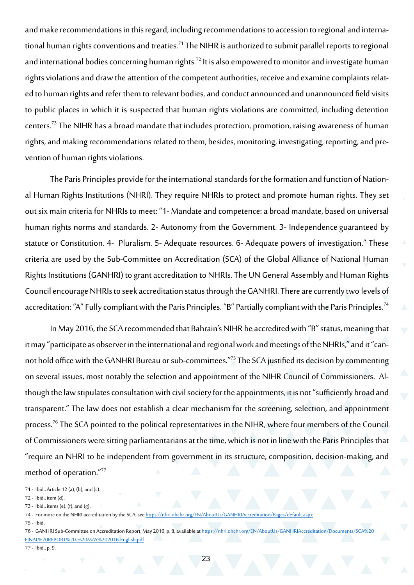and make recommendations in this regard, including recommendations to accession to regional and international human rights conventions and treaties.<sup>71</sup> The NIHR is authorized to submit parallel reports to regional and international bodies concerning human rights.<sup>72</sup> It is also empowered to monitor and investigate human rights violations and draw the attention of the competent authorities, receive and examine complaints related to human rights and refer them to relevant bodies, and conduct announced and unannounced field visits to public places in which it is suspected that human rights violations are committed, including detention centers.73 The NIHR has a broad mandate that includes protection, promotion, raising awareness of human rights, and making recommendations related to them, besides, monitoring, investigating, reporting, and prevention of human rights violations.

The Paris Principles provide for the international standards for the formation and function of National Human Rights Institutions (NHRI). They require NHRIs to protect and promote human rights. They set out six main criteria for NHRIs to meet: "1- Mandate and competence: a broad mandate, based on universal human rights norms and standards. 2- Autonomy from the Government. 3- Independence guaranteed by statute or Constitution. 4- Pluralism. 5- Adequate resources. 6- Adequate powers of investigation." These criteria are used by the Sub-Committee on Accreditation (SCA) of the Global Alliance of National Human Rights Institutions (GANHRI) to grant accreditation to NHRIs. The UN General Assembly and Human Rights Council encourage NHRIs to seek accreditation status through the GANHRI. There are currently two levels of accreditation: "A" Fully compliant with the Paris Principles. "B" Partially compliant with the Paris Principles.<sup>74</sup>

In May 2016, the SCA recommended that Bahrain's NIHR be accredited with "B" status, meaning that it may "participate as observer in the international and regional work and meetings of the NHRIs," and it "cannot hold office with the GANHRI Bureau or sub-committees."75 The SCA justified its decision by commenting on several issues, most notably the selection and appointment of the NIHR Council of Commissioners. Although the law stipulates consultation with civil society for the appointments, it is not "sufficiently broad and transparent." The law does not establish a clear mechanism for the screening, selection, and appointment process.<sup>76</sup> The SCA pointed to the political representatives in the NIHR, where four members of the Council of Commissioners were sitting parliamentarians at the time, which is not in line with the Paris Principles that "require an NHRI to be independent from government in its structure, composition, decision-making, and method of operation."77

- 71 Ibid., Article 12 (a), (b), and (c).
- 72 Ibid., item (d).
- 73 Ibid., items (e), (f), and (g).
- 74 For more on the NHRI accreditation by the SCA, see <https://nhri.ohchr.org/EN/AboutUs/GANHRIAccreditation/Pages/default.aspx>
- 75 Ibid.

77 - Ibid., p. 9.

<sup>76 -</sup> GANHRI Sub-Committee on Accreditation Report, May 2016, p. 8, available at [https://nhri.ohchr.org/EN/AboutUs/GANHRIAccreditation/Documents/SCA%20](https://nhri.ohchr.org/EN/AboutUs/GANHRIAccreditation/Documents/SCA%20FINAL%20REPORT%20-%20MAY%202016-English.pdf) [FINAL%20REPORT%20-%20MAY%202016-English.pdf](https://nhri.ohchr.org/EN/AboutUs/GANHRIAccreditation/Documents/SCA%20FINAL%20REPORT%20-%20MAY%202016-English.pdf)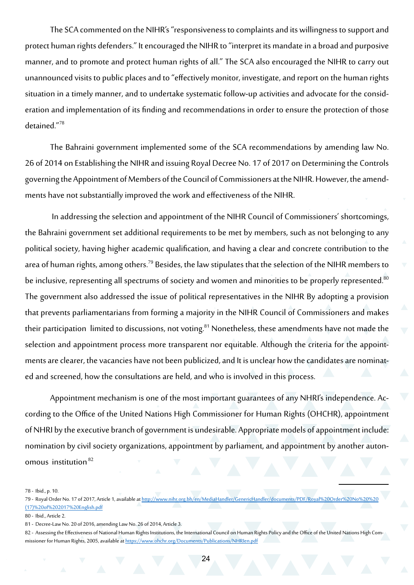The SCA commented on the NIHR's "responsiveness to complaints and its willingness to support and protect human rights defenders." It encouraged the NIHR to "interpret its mandate in a broad and purposive manner, and to promote and protect human rights of all." The SCA also encouraged the NIHR to carry out unannounced visits to public places and to "effectively monitor, investigate, and report on the human rights situation in a timely manner, and to undertake systematic follow-up activities and advocate for the consideration and implementation of its finding and recommendations in order to ensure the protection of those detained."<sup>78</sup>

The Bahraini government implemented some of the SCA recommendations by amending law No. 26 of 2014 on Establishing the NIHR and issuing Royal Decree No. 17 of 2017 on Determining the Controls governing the Appointment of Members of the Council of Commissioners at the NIHR. However, the amendments have not substantially improved the work and effectiveness of the NIHR.

 In addressing the selection and appointment of the NIHR Council of Commissioners' shortcomings, the Bahraini government set additional requirements to be met by members, such as not belonging to any political society, having higher academic qualification, and having a clear and concrete contribution to the area of human rights, among others.<sup>79</sup> Besides, the law stipulates that the selection of the NIHR members to be inclusive, representing all spectrums of society and women and minorities to be properly represented.<sup>80</sup> The government also addressed the issue of political representatives in the NIHR By adopting a provision that prevents parliamentarians from forming a majority in the NIHR Council of Commissioners and makes their participation limited to discussions, not voting.<sup>81</sup> Nonetheless, these amendments have not made the selection and appointment process more transparent nor equitable. Although the criteria for the appointments are clearer, the vacancies have not been publicized, and It is unclear how the candidates are nominated and screened, how the consultations are held, and who is involved in this process.

Appointment mechanism is one of the most important guarantees of any NHRI's independence. According to the Office of the United Nations High Commissioner for Human Rights (OHCHR), appointment of NHRI by the executive branch of government is undesirable. Appropriate models of appointment include: nomination by civil society organizations, appointment by parliament, and appointment by another autonomous institution<sup>82</sup>

78 - Ibid., p. 10.

<sup>79 -</sup> Royal Order No. 17 of 2017, Article 1, available at [http://www.nihr.org.bh/en/MediaHandler/GenericHandler/documents/PDF/Royal%20Order%20No%20%20](http://www.nihr.org.bh/en/MediaHandler/GenericHandler/documents/PDF/Royal%20Order%20No%20%20(17)%20of%202017%20English.pdf) [\(17\)%20of%202017%20English.pdf](http://www.nihr.org.bh/en/MediaHandler/GenericHandler/documents/PDF/Royal%20Order%20No%20%20(17)%20of%202017%20English.pdf)

<sup>80 -</sup> Ibid., Article 2.

<sup>81 -</sup> Decree-Law No. 20 of 2016, amending Law No. 26 of 2014, Article 3.

<sup>82 -</sup> Assessing the Effectiveness of National Human Rights Institutions, the International Council on Human Rights Policy and the Office of the United Nations High Commissioner for Human Rights, 2005, available at<https://www.ohchr.org/Documents/Publications/NHRIen.pdf>

 $24$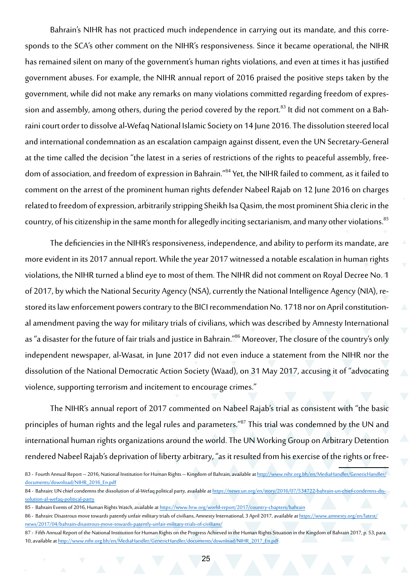Bahrain's NIHR has not practiced much independence in carrying out its mandate, and this corresponds to the SCA's other comment on the NIHR's responsiveness. Since it became operational, the NIHR has remained silent on many of the government's human rights violations, and even at times it has justified government abuses. For example, the NIHR annual report of 2016 praised the positive steps taken by the government, while did not make any remarks on many violations committed regarding freedom of expression and assembly, among others, during the period covered by the report.<sup>83</sup> It did not comment on a Bahraini court order to dissolve al-Wefaq National Islamic Society on 14 June 2016. The dissolution steered local and international condemnation as an escalation campaign against dissent, even the UN Secretary-General at the time called the decision "the latest in a series of restrictions of the rights to peaceful assembly, freedom of association, and freedom of expression in Bahrain."<sup>84</sup> Yet, the NIHR failed to comment, as it failed to comment on the arrest of the prominent human rights defender Nabeel Rajab on 12 June 2016 on charges related to freedom of expression, arbitrarily stripping Sheikh Isa Qasim, the most prominent Shia cleric in the country, of his citizenship in the same month for allegedly inciting sectarianism, and many other violations.<sup>85</sup>

The deficiencies in the NIHR's responsiveness, independence, and ability to perform its mandate, are more evident in its 2017 annual report. While the year 2017 witnessed a notable escalation in human rights violations, the NIHR turned a blind eye to most of them. The NIHR did not comment on Royal Decree No. 1 of 2017, by which the National Security Agency (NSA), currently the National Intelligence Agency (NIA), restored its law enforcement powers contrary to the BICI recommendation No. 1718 nor on April constitutional amendment paving the way for military trials of civilians, which was described by Amnesty International as "a disaster for the future of fair trials and justice in Bahrain."86 Moreover, The closure of the country's only independent newspaper, al-Wasat, in June 2017 did not even induce a statement from the NIHR nor the dissolution of the National Democratic Action Society (Waad), on 31 May 2017, accusing it of "advocating violence, supporting terrorism and incitement to encourage crimes."

The NIHR's annual report of 2017 commented on Nabeel Rajab's trial as consistent with "the basic principles of human rights and the legal rules and parameters."<sup>87</sup> This trial was condemned by the UN and international human rights organizations around the world. The UN Working Group on Arbitrary Detention rendered Nabeel Rajab's deprivation of liberty arbitrary, "as it resulted from his exercise of the rights or free-

<sup>83 -</sup> Fourth Annual Report – 2016, National Institution for Human Rights – Kingdom of Bahrain, available at [http://www.nihr.org.bh/en/MediaHandler/GenericHandler/](http://www.nihr.org.bh/en/MediaHandler/GenericHandler/documents/download/NIHR_2016_En.pdf) [documents/download/NIHR\\_2016\\_En.pdf](http://www.nihr.org.bh/en/MediaHandler/GenericHandler/documents/download/NIHR_2016_En.pdf)

<sup>84 -</sup> Bahrain: UN chief condemns the dissolution of al-Wefaq political party, available at [https://news.un.org/en/story/2016/07/534722-bahrain-un-chief-condemns-dis](https://news.un.org/en/story/2016/07/534722-bahrain-un-chief-condemns-dissolution-al-wefaq-political-party)[solution-al-wefaq-political-party](https://news.un.org/en/story/2016/07/534722-bahrain-un-chief-condemns-dissolution-al-wefaq-political-party)

<sup>85 -</sup> Bahrain Events of 2016, Human Rights Watch, available at <https://www.hrw.org/world-report/2017/country-chapters/bahrain>

<sup>86 -</sup> Bahrain: Disastrous move towards patently unfair military trials of civilians, Amnesty International, 3 April 2017, available at [https://www.amnesty.org/en/latest/](https://www.amnesty.org/en/latest/news/2017/04/bahrain-disastrous-move-towards-patently-unfair-military-trials-of-civilians/) [news/2017/04/bahrain-disastrous-move-towards-patently-unfair-military-trials-of-civilians/](https://www.amnesty.org/en/latest/news/2017/04/bahrain-disastrous-move-towards-patently-unfair-military-trials-of-civilians/)

<sup>87 -</sup> Fifth Annual Report of the National Institution for Human Rights on the Progress Achieved in the Human Rights Situation in the Kingdom of Bahrain 2017, p. 53, para 10, available at [http://www.nihr.org.bh/en/MediaHandler/GenericHandler/documents/download/NIHR\\_2017\\_En.pdf](http://www.nihr.org.bh/en/MediaHandler/GenericHandler/documents/download/NIHR_2017_En.pdf)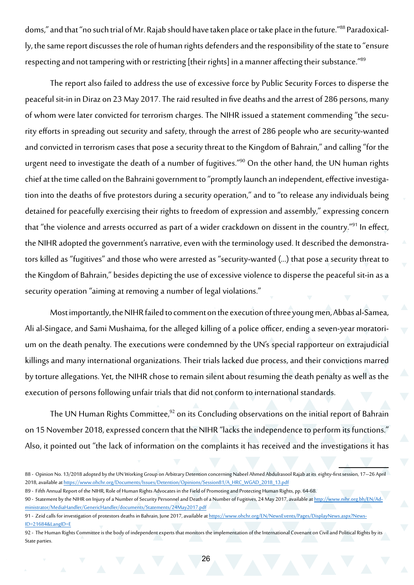doms," and that "no such trial of Mr. Rajab should have taken place or take place in the future."88 Paradoxically, the same report discusses the role of human rights defenders and the responsibility of the state to "ensure respecting and not tampering with or restricting [their rights] in a manner affecting their substance."89

The report also failed to address the use of excessive force by Public Security Forces to disperse the peaceful sit-in in Diraz on 23 May 2017. The raid resulted in five deaths and the arrest of 286 persons, many of whom were later convicted for terrorism charges. The NIHR issued a statement commending "the security efforts in spreading out security and safety, through the arrest of 286 people who are security-wanted and convicted in terrorism cases that pose a security threat to the Kingdom of Bahrain," and calling "for the urgent need to investigate the death of a number of fugitives."<sup>90</sup> On the other hand, the UN human rights chief at the time called on the Bahraini government to "promptly launch an independent, effective investigation into the deaths of five protestors during a security operation," and to "to release any individuals being detained for peacefully exercising their rights to freedom of expression and assembly," expressing concern that "the violence and arrests occurred as part of a wider crackdown on dissent in the country."<sup>91</sup> In effect, the NIHR adopted the government's narrative, even with the terminology used. It described the demonstrators killed as "fugitives" and those who were arrested as "security-wanted (…) that pose a security threat to the Kingdom of Bahrain," besides depicting the use of excessive violence to disperse the peaceful sit-in as a security operation "aiming at removing a number of legal violations."

Most importantly, the NIHR failed to comment on the execution of three young men, Abbas al-Samea, Ali al-Singace, and Sami Mushaima, for the alleged killing of a police officer, ending a seven-year moratorium on the death penalty. The executions were condemned by the UN's special rapporteur on extrajudicial killings and many international organizations. Their trials lacked due process, and their convictions marred by torture allegations. Yet, the NIHR chose to remain silent about resuming the death penalty as well as the execution of persons following unfair trials that did not conform to international standards.

The UN Human Rights Committee,<sup>92</sup> on its Concluding observations on the initial report of Bahrain on 15 November 2018, expressed concern that the NIHR "lacks the independence to perform its functions." Also, it pointed out "the lack of information on the complaints it has received and the investigations it has

<sup>88 -</sup> Opinion No. 13/2018 adopted by the UN Working Group on Arbitrary Detention concerning Nabeel Ahmed Abdulrasool Rajab at its eighty-first session, 17–26 April 2018, available at [https://www.ohchr.org/Documents/Issues/Detention/Opinions/Session81/A\\_HRC\\_WGAD\\_2018\\_13.pdf](https://www.ohchr.org/Documents/Issues/Detention/Opinions/Session81/A_HRC_WGAD_2018_13.pdf)

<sup>89 -</sup> Fifth Annual Report of the NIHR, Role of Human Rights Advocates in the Field of Promoting and Protecting Human Rights, pp. 64-68.

<sup>90 -</sup> Statement by the NIHR on Injury of a Number of Security Personnel and Death of a Number of Fugitives, 24 May 2017, available at [http://www.nihr.org.bh/EN/Ad](http://www.nihr.org.bh/EN/Administrator/MediaHandler/GenericHandler/documents/Statements/24May2017.pdf)[ministrator/MediaHandler/GenericHandler/documents/Statements/24May2017.pdf](http://www.nihr.org.bh/EN/Administrator/MediaHandler/GenericHandler/documents/Statements/24May2017.pdf)

<sup>91 -</sup> Zeid calls for investigation of protestors deaths in Bahrain, June 2017, available at [https://www.ohchr.org/EN/NewsEvents/Pages/DisplayNews.aspx?News](https://www.ohchr.org/EN/NewsEvents/Pages/DisplayNews.aspx?NewsID=21684&LangID=E)-[ID=21684&LangID=E](https://www.ohchr.org/EN/NewsEvents/Pages/DisplayNews.aspx?NewsID=21684&LangID=E)

<sup>92</sup> - The Human Rights Committee is the body of independent experts that monitors the implementation of the International Covenant on Civil and Political Rights by its State parties.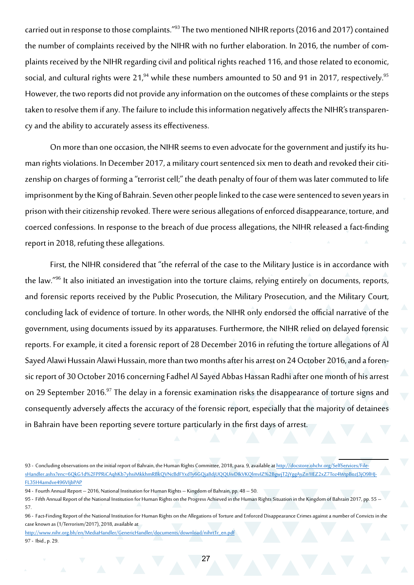carried out in response to those complaints."<sup>93</sup> The two mentioned NIHR reports (2016 and 2017) contained the number of complaints received by the NIHR with no further elaboration. In 2016, the number of complaints received by the NIHR regarding civil and political rights reached 116, and those related to economic, social, and cultural rights were 21,<sup>94</sup> while these numbers amounted to 50 and 91 in 2017, respectively.<sup>95</sup> However, the two reports did not provide any information on the outcomes of these complaints or the steps taken to resolve them if any. The failure to include this information negatively affects the NIHR's transparency and the ability to accurately assess its effectiveness.

On more than one occasion, the NIHR seems to even advocate for the government and justify its human rights violations. In December 2017, a military court sentenced six men to death and revoked their citizenship on charges of forming a "terrorist cell;" the death penalty of four of them was later commuted to life imprisonment by the King of Bahrain. Seven other people linked to the case were sentenced to seven years in prison with their citizenship revoked. There were serious allegations of enforced disappearance, torture, and coerced confessions. In response to the breach of due process allegations, the NIHR released a fact-finding report in 2018, refuting these allegations.

First, the NIHR considered that "the referral of the case to the Military Justice is in accordance with the law."<sup>96</sup> It also initiated an investigation into the torture claims, relying entirely on documents, reports, and forensic reports received by the Public Prosecution, the Military Prosecution, and the Military Court, concluding lack of evidence of torture. In other words, the NIHR only endorsed the official narrative of the government, using documents issued by its apparatuses. Furthermore, the NIHR relied on delayed forensic reports. For example, it cited a forensic report of 28 December 2016 in refuting the torture allegations of Al Sayed Alawi Hussain Alawi Hussain, more than two months after his arrest on 24 October 2016, and a forensic report of 30 October 2016 concerning Fadhel Al Sayed Abbas Hassan Radhi after one month of his arrest on 29 September 2016.<sup>97</sup> The delay in a forensic examination risks the disappearance of torture signs and consequently adversely affects the accuracy of the forensic report, especially that the majority of detainees in Bahrain have been reporting severe torture particularly in the first days of arrest.

[http://www.nihr.org.bh/en/MediaHandler/GenericHandler/documents/download/nihrt1r\\_en.pdf](http://www.nihr.org.bh/en/MediaHandler/GenericHandler/documents/download/nihrt1r_en.pdf)

97 - Ibid., p. 29.

<sup>93 -</sup> Concluding observations on the initial report of Bahrain, the Human Rights Committee, 2018, para. 9, available at [http://docstore.ohchr.org/SelfServices/File](http://docstore.ohchr.org/SelfServices/FilesHandler.ashx?enc=6QkG1d%2FPPRiCAqhKb7yhsiMkkhmRBkQVNcBdFYxdTy6GQja8djUQQUivDIkVKQlmvIZ%2BgwjT2jYggAyZn1IEZ2xZ7Toz4WtpBozJ3jO9lHJFL35H4amdve496VIjbPAP)[sHandler.ashx?enc=6QkG1d%2FPPRiCAqhKb7yhsiMkkhmRBkQVNcBdFYxdTy6GQja8djUQQUivDIkVKQlmvIZ%2BgwjT2jYggAyZn1IEZ2xZ7Toz4WtpBozJ3jO9lHJ](http://docstore.ohchr.org/SelfServices/FilesHandler.ashx?enc=6QkG1d%2FPPRiCAqhKb7yhsiMkkhmRBkQVNcBdFYxdTy6GQja8djUQQUivDIkVKQlmvIZ%2BgwjT2jYggAyZn1IEZ2xZ7Toz4WtpBozJ3jO9lHJFL35H4amdve496VIjbPAP)-[FL35H4amdve496VIjbPAP](http://docstore.ohchr.org/SelfServices/FilesHandler.ashx?enc=6QkG1d%2FPPRiCAqhKb7yhsiMkkhmRBkQVNcBdFYxdTy6GQja8djUQQUivDIkVKQlmvIZ%2BgwjT2jYggAyZn1IEZ2xZ7Toz4WtpBozJ3jO9lHJFL35H4amdve496VIjbPAP)

<sup>94 -</sup> Fourth Annual Report – 2016, National Institution for Human Rights – Kingdom of Bahrain, pp. 48 – 50.

<sup>95</sup> - Fifth Annual Report of the National Institution for Human Rights on the Progress Achieved in the Human Rights Situation in the Kingdom of Bahrain 2017, pp. 55 – 57.

<sup>96</sup> - Fact-Finding Report of the National Institution for Human Rights on the Allegations of Torture and Enforced Disappearance Crimes against a number of Convicts in the case known as (1/Terrorism/2017), 2018, available at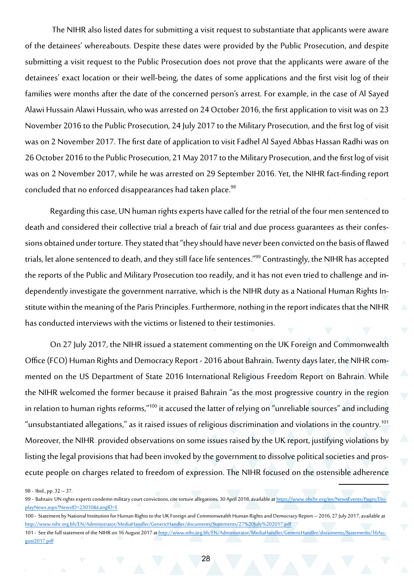The NIHR also listed dates for submitting a visit request to substantiate that applicants were aware of the detainees' whereabouts. Despite these dates were provided by the Public Prosecution, and despite submitting a visit request to the Public Prosecution does not prove that the applicants were aware of the detainees' exact location or their well-being, the dates of some applications and the first visit log of their families were months after the date of the concerned person's arrest. For example, in the case of Al Sayed Alawi Hussain Alawi Hussain, who was arrested on 24 October 2016, the first application to visit was on 23 November 2016 to the Public Prosecution, 24 July 2017 to the Military Prosecution, and the first log of visit was on 2 November 2017. The first date of application to visit Fadhel Al Sayed Abbas Hassan Radhi was on 26 October 2016 to the Public Prosecution, 21 May 2017 to the Military Prosecution, and the first log of visit was on 2 November 2017, while he was arrested on 29 September 2016. Yet, the NIHR fact-finding report concluded that no enforced disappearances had taken place.<sup>98</sup>

Regarding this case, UN human rights experts have called for the retrial of the four men sentenced to death and considered their collective trial a breach of fair trial and due process guarantees as their confessions obtained under torture. They stated that "they should have never been convicted on the basis of flawed trials, let alone sentenced to death, and they still face life sentences."<sup>99</sup> Contrastingly, the NIHR has accepted the reports of the Public and Military Prosecution too readily, and it has not even tried to challenge and independently investigate the government narrative, which is the NIHR duty as a National Human Rights Institute within the meaning of the Paris Principles. Furthermore, nothing in the report indicates that the NIHR has conducted interviews with the victims or listened to their testimonies.

On 27 July 2017, the NIHR issued a statement commenting on the UK Foreign and Commonwealth Office (FCO) Human Rights and Democracy Report - 2016 about Bahrain. Twenty days later, the NIHR commented on the US Department of State 2016 International Religious Freedom Report on Bahrain. While the NIHR welcomed the former because it praised Bahrain "as the most progressive country in the region in relation to human rights reforms,"100 it accused the latter of relying on "unreliable sources" and including "unsubstantiated allegations," as it raised issues of religious discrimination and violations in the country.<sup>101</sup> Moreover, the NIHR provided observations on some issues raised by the UK report, justifying violations by listing the legal provisions that had been invoked by the government to dissolve political societies and prosecute people on charges related to freedom of expression. The NIHR focused on the ostensible adherence

98 - Ibid., pp. 32 – 37.

<sup>99 -</sup> Bahrain: UN rights experts condemn military court convictions, cite torture allegations, 30 April 2018, available at [https://www.ohchr.org/en/NewsEvents/Pages/Dis](https://www.ohchr.org/en/NewsEvents/Pages/DisplayNews.aspx?NewsID=23010&LangID=E)[playNews.aspx?NewsID=23010&LangID=E](https://www.ohchr.org/en/NewsEvents/Pages/DisplayNews.aspx?NewsID=23010&LangID=E)

<sup>100</sup> - Statement by National Institution for Human Rights to the UK Foreign and Commonwealth Human Rights and Democracy Report – 2016, 27 July 2017, available at <http://www.nihr.org.bh/EN/Administrator/MediaHandler/GenericHandler/documents/Statements/27%20July%202017.pdf>

<sup>101 -</sup> See the full statement of the NIHR on 16 August 2017 at [http://www.nihr.org.bh/EN/Administrator/MediaHandler/GenericHandler/documents/Statements/16Au](http://www.nihr.org.bh/EN/Administrator/MediaHandler/GenericHandler/documents/Statements/16August2017.pdf)[gust2017.pdf](http://www.nihr.org.bh/EN/Administrator/MediaHandler/GenericHandler/documents/Statements/16August2017.pdf)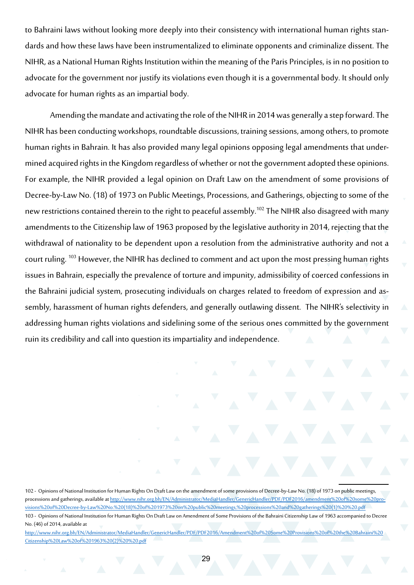to Bahraini laws without looking more deeply into their consistency with international human rights standards and how these laws have been instrumentalized to eliminate opponents and criminalize dissent. The NIHR, as a National Human Rights Institution within the meaning of the Paris Principles, is in no position to advocate for the government nor justify its violations even though it is a governmental body. It should only advocate for human rights as an impartial body.

Amending the mandate and activating the role of the NIHR in 2014 was generally a step forward. The NIHR has been conducting workshops, roundtable discussions, training sessions, among others, to promote human rights in Bahrain. It has also provided many legal opinions opposing legal amendments that undermined acquired rights in the Kingdom regardless of whether or not the government adopted these opinions. For example, the NIHR provided a legal opinion on Draft Law on the amendment of some provisions of Decree-by-Law No. (18) of 1973 on Public Meetings, Processions, and Gatherings, objecting to some of the new restrictions contained therein to the right to peaceful assembly.<sup>102</sup> The NIHR also disagreed with many amendments to the Citizenship law of 1963 proposed by the legislative authority in 2014, rejecting that the withdrawal of nationality to be dependent upon a resolution from the administrative authority and not a court ruling. 103 However, the NIHR has declined to comment and act upon the most pressing human rights issues in Bahrain, especially the prevalence of torture and impunity, admissibility of coerced confessions in the Bahraini judicial system, prosecuting individuals on charges related to freedom of expression and assembly, harassment of human rights defenders, and generally outlawing dissent. The NIHR's selectivity in addressing human rights violations and sidelining some of the serious ones committed by the government ruin its credibility and call into question its impartiality and independence.

<sup>102 -</sup> Opinions of National Institution for Human Rights On Draft Law on the amendment of some provisions of Decree-by-Law No. (18) of 1973 on public meetings, processions and gatherings, available at [http://www.nihr.org.bh/EN/Administrator/MediaHandler/GenericHandler/PDF/PDF2016/amendment%20of%20some%20pro](http://www.nihr.org.bh/EN/Administrator/MediaHandler/GenericHandler/PDF/PDF2016/amendment%20of%20some%20provisions%20of%20Decree-by-Law%20No.%20(18)%20of%201973%20on%20public%20meetings,%20processions%20and%20gatherings%20(1)%20%20.pdf)[visions%20of%20Decree-by-Law%20No.%20\(18\)%20of%201973%20on%20public%20meetings,%20processions%20and%20gatherings%20\(1\)%20%20.pdf](http://www.nihr.org.bh/EN/Administrator/MediaHandler/GenericHandler/PDF/PDF2016/amendment%20of%20some%20provisions%20of%20Decree-by-Law%20No.%20(18)%20of%201973%20on%20public%20meetings,%20processions%20and%20gatherings%20(1)%20%20.pdf) 103 - Opinions of National Institution for Human Rights On Draft Law on Amendment of Some Provisions of the Bahraini Citizenship Law of 1963 accompanied to Decree No. (46) of 2014, available at

http[://www.nihr.org.bh/EN/Administrator/MediaHandler/GenericHandler/PDF/PDF2016/Amendment%20of%20Some%20Provisions%20of%20the%20Bahraini%20](http://www.nihr.org.bh/EN/Administrator/MediaHandler/GenericHandler/PDF/PDF2016/Amendment%20of%20Some%20Provisions%20of%20the%20Bahraini%20Citizenship%20Law%20of%201963%20(2)%20%20.pdf) [Citizenship%20Law%20of%201963%20\(2\)%20%20.pdf](http://www.nihr.org.bh/EN/Administrator/MediaHandler/GenericHandler/PDF/PDF2016/Amendment%20of%20Some%20Provisions%20of%20the%20Bahraini%20Citizenship%20Law%20of%201963%20(2)%20%20.pdf)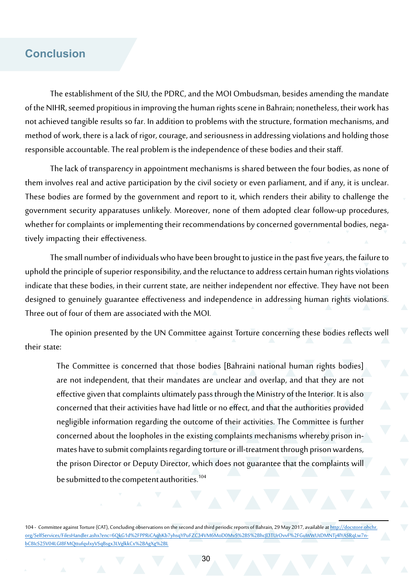#### **Conclusion**

The establishment of the SIU, the PDRC, and the MOI Ombudsman, besides amending the mandate of the NIHR, seemed propitious in improving the human rights scene in Bahrain; nonetheless, their work has not achieved tangible results so far. In addition to problems with the structure, formation mechanisms, and method of work, there is a lack of rigor, courage, and seriousness in addressing violations and holding those responsible accountable. The real problem is the independence of these bodies and their staff.

The lack of transparency in appointment mechanisms is shared between the four bodies, as none of them involves real and active participation by the civil society or even parliament, and if any, it is unclear. These bodies are formed by the government and report to it, which renders their ability to challenge the government security apparatuses unlikely. Moreover, none of them adopted clear follow-up procedures, whether for complaints or implementing their recommendations by concerned governmental bodies, negatively impacting their effectiveness.

The small number of individuals who have been brought to justice in the past five years, the failure to uphold the principle of superior responsibility, and the reluctance to address certain human rights violations indicate that these bodies, in their current state, are neither independent nor effective. They have not been designed to genuinely guarantee effectiveness and independence in addressing human rights violations. Three out of four of them are associated with the MOI.

The opinion presented by the UN Committee against Torture concerning these bodies reflects well their state:

The Committee is concerned that those bodies [Bahraini national human rights bodies] are not independent, that their mandates are unclear and overlap, and that they are not effective given that complaints ultimately pass through the Ministry of the Interior. It is also concerned that their activities have had little or no effect, and that the authorities provided negligible information regarding the outcome of their activities. The Committee is further concerned about the loopholes in the existing complaints mechanisms whereby prison inmates have to submit complaints regarding torture or ill-treatment through prison wardens, the prison Director or Deputy Director, which does not guarantee that the complaints will be submitted to the competent authorities.<sup>104</sup>

104 - Committee against Torture (CAT), Concluding observations on the second and third periodic reports of Bahrain, 29 May 2017, available at [http://docstore.ohchr.](http://docstore.ohchr.org/SelfServices/FilesHandler.ashx?enc=6QkG1d%2FPPRiCAqhKb7yhsqYPuFZC34VM6MoD0MvS%2BS%2BhcJl3TUrOvvF%2FGuWWUtDMNTj4lYASRqLw7nbC8IcS25V04LGI8FMQttufqvlxyVSqBsgx3LVglkkCx%2BAgXg%2BL) [org/SelfServices/FilesHandler.ashx?enc=6QkG1d%2FPPRiCAqhKb7yhsqYPuFZC34VM6MoD0MvS%2BS%2BhcJl3TUrOvvF%2FGuWWUtDMNTj4lYASRqLw7n](http://docstore.ohchr.org/SelfServices/FilesHandler.ashx?enc=6QkG1d%2FPPRiCAqhKb7yhsqYPuFZC34VM6MoD0MvS%2BS%2BhcJl3TUrOvvF%2FGuWWUtDMNTj4lYASRqLw7nbC8IcS25V04LGI8FMQttufqvlxyVSqBsgx3LVglkkCx%2BAgXg%2BL)[bC8IcS25V04LGI8FMQttufqvlxyVSqBsgx3LVglkkCx%2BAgXg%2BL](http://docstore.ohchr.org/SelfServices/FilesHandler.ashx?enc=6QkG1d%2FPPRiCAqhKb7yhsqYPuFZC34VM6MoD0MvS%2BS%2BhcJl3TUrOvvF%2FGuWWUtDMNTj4lYASRqLw7nbC8IcS25V04LGI8FMQttufqvlxyVSqBsgx3LVglkkCx%2BAgXg%2BL)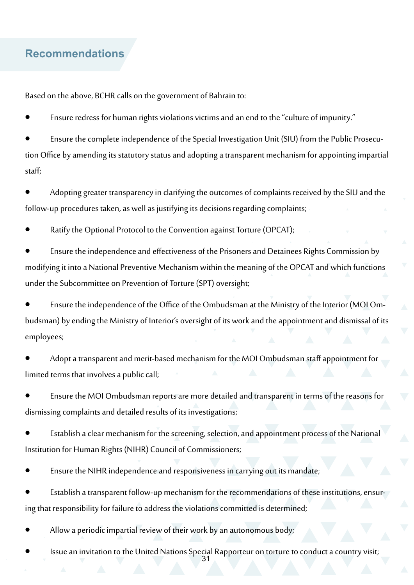#### **Recommendations**

Based on the above, BCHR calls on the government of Bahrain to:

Ensure redress for human rights violations victims and an end to the "culture of impunity."

Ensure the complete independence of the Special Investigation Unit (SIU) from the Public Prosecution Office by amending its statutory status and adopting a transparent mechanism for appointing impartial staff;

Adopting greater transparency in clarifying the outcomes of complaints received by the SIU and the follow-up procedures taken, as well as justifying its decisions regarding complaints;

Ratify the Optional Protocol to the Convention against Torture (OPCAT);

Ensure the independence and effectiveness of the Prisoners and Detainees Rights Commission by modifying it into a National Preventive Mechanism within the meaning of the OPCAT and which functions under the Subcommittee on Prevention of Torture (SPT) oversight;

Ensure the independence of the Office of the Ombudsman at the Ministry of the Interior (MOI Ombudsman) by ending the Ministry of Interior's oversight of its work and the appointment and dismissal of its employees;

Adopt a transparent and merit-based mechanism for the MOI Ombudsman staff appointment for limited terms that involves a public call;

Ensure the MOI Ombudsman reports are more detailed and transparent in terms of the reasons for dismissing complaints and detailed results of its investigations;

Establish a clear mechanism for the screening, selection, and appointment process of the National Institution for Human Rights (NIHR) Council of Commissioners;

Ensure the NIHR independence and responsiveness in carrying out its mandate;

Establish a transparent follow-up mechanism for the recommendations of these institutions, ensuring that responsibility for failure to address the violations committed is determined;

Allow a periodic impartial review of their work by an autonomous body;

31 Issue an invitation to the United Nations Special Rapporteur on torture to conduct a country visit;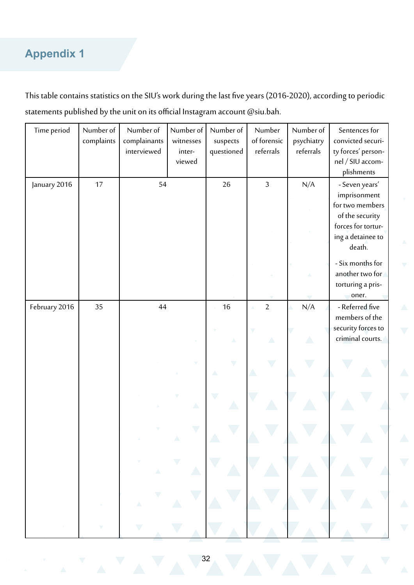# **Appendix 1**

This table contains statistics on the SIU's work during the last five years (2016-2020), according to periodic statements published by the unit on its official Instagram account [@siu.bah.](https://www.instagram.com/siu.bah/)

| Time period   | Number of  | Number of    | Number of | Number of  | Number         | Number of   | Sentences for      |
|---------------|------------|--------------|-----------|------------|----------------|-------------|--------------------|
|               | complaints | complainants | witnesses | suspects   | of forensic    | psychiatry  | convicted securi-  |
|               |            | interviewed  | inter-    | questioned | referrals      | referrals   | ty forces' person- |
|               |            |              | viewed    |            |                |             | nel / SIU accom-   |
|               |            |              |           |            |                |             | plishments         |
| January 2016  | 17         | 54           |           | 26         | $\overline{3}$ | N/A         | - Seven years'     |
|               |            |              |           |            |                |             | imprisonment       |
|               |            |              |           |            |                |             | for two members    |
|               |            |              |           |            |                |             | of the security    |
|               |            |              |           |            |                |             | forces for tortur- |
|               |            |              |           |            |                |             | ing a detainee to  |
|               |            |              |           |            |                |             | death.             |
|               |            |              |           |            |                |             | - Six months for   |
|               |            |              |           |            |                |             | another two for    |
|               |            |              |           |            |                |             | torturing a pris-  |
|               |            |              |           |            |                |             | oner.              |
| February 2016 | 35         | 44           |           | 16         | $\overline{2}$ | N/A         | - Referred five    |
|               |            |              |           |            |                |             | members of the     |
|               |            |              |           |            |                |             | security forces to |
|               |            |              |           |            | Δ              | $\triangle$ | criminal courts.   |
|               |            |              |           |            |                |             |                    |
|               |            |              |           |            |                |             |                    |
|               |            |              |           |            |                |             |                    |
|               |            |              |           |            |                |             |                    |
|               |            |              |           |            |                |             |                    |
|               |            |              | Δ         |            |                |             |                    |
|               |            |              |           |            |                |             |                    |
|               |            |              |           |            |                |             |                    |
|               |            |              |           |            |                |             |                    |
|               |            |              |           |            |                |             |                    |
|               |            |              |           |            |                |             |                    |
|               |            |              |           |            |                |             |                    |
|               |            |              |           |            |                |             |                    |
|               |            |              |           |            |                |             |                    |
|               |            |              |           |            |                |             |                    |
|               |            |              |           |            |                |             |                    |
|               |            |              |           |            |                |             |                    |
|               |            |              |           |            |                |             |                    |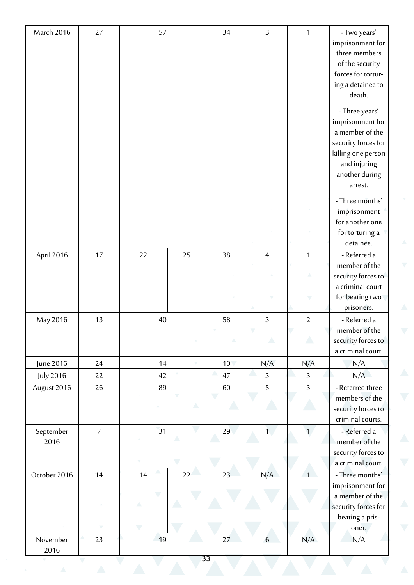| March 2016       | 27             | 57                      |    | 34              | $\overline{3}$ | $\mathbf{1}$     | - Two years'                            |
|------------------|----------------|-------------------------|----|-----------------|----------------|------------------|-----------------------------------------|
|                  |                |                         |    |                 |                |                  | imprisonment for                        |
|                  |                |                         |    |                 |                |                  | three members                           |
|                  |                |                         |    |                 |                |                  | of the security                         |
|                  |                |                         |    |                 |                |                  | forces for tortur-                      |
|                  |                |                         |    |                 |                |                  | ing a detainee to                       |
|                  |                |                         |    |                 |                |                  | death.                                  |
|                  |                |                         |    |                 |                |                  | - Three years'                          |
|                  |                |                         |    |                 |                |                  | imprisonment for                        |
|                  |                |                         |    |                 |                |                  | a member of the                         |
|                  |                |                         |    |                 |                |                  | security forces for                     |
|                  |                |                         |    |                 |                |                  | killing one person                      |
|                  |                |                         |    |                 |                |                  | and injuring                            |
|                  |                |                         |    |                 |                |                  | another during                          |
|                  |                |                         |    |                 |                |                  | arrest.                                 |
|                  |                |                         |    |                 |                |                  | - Three months'                         |
|                  |                |                         |    |                 |                |                  | imprisonment                            |
|                  |                |                         |    |                 |                |                  | for another one                         |
|                  |                |                         |    |                 |                |                  | for torturing a                         |
|                  |                |                         |    |                 |                |                  | detainee.                               |
| April 2016       | 17             | 22                      | 25 | 38              | $\overline{4}$ | $\mathbf{1}$     | - Referred a                            |
|                  |                |                         |    |                 |                |                  | member of the                           |
|                  |                |                         |    |                 |                |                  | security forces to                      |
|                  |                |                         |    |                 |                |                  | a criminal court                        |
|                  |                |                         |    |                 |                | V                | for beating two                         |
|                  |                |                         |    |                 |                |                  | prisoners.                              |
| May 2016         | 13             | 40                      |    | 58              | $\mathfrak{Z}$ | $\overline{2}$   | - Referred a                            |
|                  |                |                         |    | Δ               | Δ              | $\triangle$      | member of the                           |
|                  |                |                         |    |                 |                |                  | security forces to<br>a criminal court. |
| June 2016        | 24             | 14                      |    | 10 <sub>1</sub> | N/A            | N/A              | N/A                                     |
| July 2016        | 22             | 42                      |    | 47              | $\mathfrak{Z}$ | $\mathfrak{Z}$   | N/A                                     |
| August 2016      | 26             | 89                      |    | 60              | 5              | 3                | - Referred three                        |
|                  |                |                         |    |                 |                |                  | members of the                          |
|                  |                |                         | Δ  | $\sqrt{2}$      |                |                  | security forces to                      |
|                  |                |                         |    |                 |                |                  | criminal courts.                        |
| September        | $\overline{7}$ | 31                      |    | 29              | $\overline{1}$ | $\overline{1}$   | - Referred a                            |
| 2016             |                |                         | Δ  |                 |                |                  | member of the                           |
|                  |                |                         |    |                 |                |                  | security forces to                      |
|                  |                |                         |    |                 |                |                  | a criminal court.                       |
| October 2016     | 14             | 14                      | 22 | 23              | N/A            | $\left(1\right)$ | - Three months'                         |
|                  |                |                         |    |                 |                |                  | imprisonment for                        |
|                  |                | $\overline{\mathbf{v}}$ |    |                 |                |                  | a member of the                         |
|                  |                |                         |    |                 |                |                  | security forces for                     |
|                  |                |                         |    |                 |                |                  | beating a pris-                         |
|                  |                |                         |    |                 |                |                  | oner.                                   |
| November<br>2016 | 23             | 19                      |    | 27              | $6\phantom{a}$ | N/A              | N/A                                     |
|                  |                |                         |    | 33              |                |                  |                                         |
| $\triangle$      | $\triangle$    |                         |    |                 |                |                  |                                         |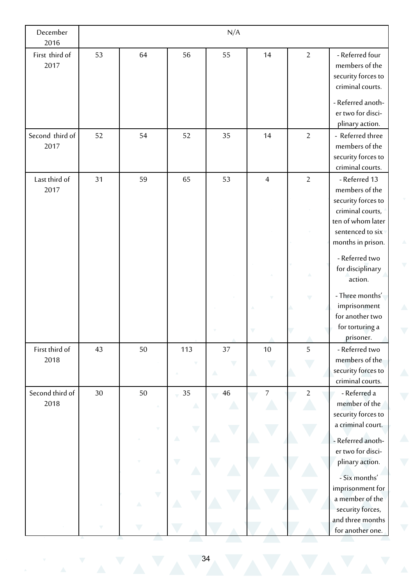| December<br>2016        |    |                          |         | N/A    |                          |                          |                                                                              |
|-------------------------|----|--------------------------|---------|--------|--------------------------|--------------------------|------------------------------------------------------------------------------|
| First third of<br>2017  | 53 | 64                       | 56      | 55     | 14                       | $\overline{2}$           | - Referred four<br>members of the<br>security forces to<br>criminal courts.  |
|                         |    |                          |         |        |                          |                          | - Referred anoth-<br>er two for disci-<br>plinary action.                    |
| Second third of<br>2017 | 52 | 54                       | 52      | 35     | 14                       | $\overline{2}$           | - Referred three<br>members of the<br>security forces to<br>criminal courts. |
| Last third of<br>2017   | 31 | 59                       | 65      | 53     | $\overline{4}$           | $\overline{2}$           | - Referred 13<br>members of the<br>security forces to                        |
|                         |    |                          |         |        |                          |                          | criminal courts,<br>ten of whom later<br>sentenced to six                    |
|                         |    |                          |         |        |                          |                          | months in prison.<br>- Referred two                                          |
|                         |    |                          |         |        |                          |                          | for disciplinary<br>action.                                                  |
|                         |    |                          |         |        |                          | $\overline{\phantom{0}}$ | - Three months'<br>imprisonment<br>for another two                           |
|                         |    |                          |         |        |                          |                          | for torturing a<br>prisoner.                                                 |
| First third of<br>2018  | 43 | 50                       | 113     | 37     | 10                       | 5                        | - Referred two<br>members of the<br>security forces to<br>criminal courts.   |
| Second third of<br>2018 | 30 | 50                       | 35<br>Δ | $46\,$ | $\overline{\mathcal{I}}$ | $\overline{2}$           | - Referred a<br>member of the<br>security forces to<br>a criminal court.     |
|                         |    |                          | Δ       |        |                          |                          | - Referred anoth-<br>er two for disci-                                       |
|                         |    | Δ                        |         |        |                          |                          | plinary action.<br>- Six months'<br>imprisonment for                         |
|                         |    | $\overline{\phantom{0}}$ |         |        |                          |                          | a member of the<br>security forces,<br>and three months                      |
|                         |    |                          |         |        |                          |                          | for another one.                                                             |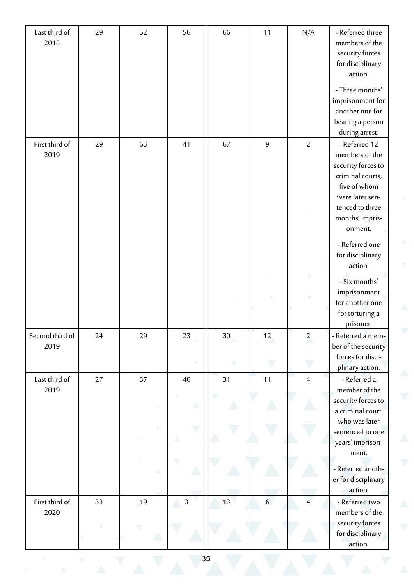| Last third of   | 29 | 52 | 56             | 66                       | 11               | N/A                     | - Referred three    |
|-----------------|----|----|----------------|--------------------------|------------------|-------------------------|---------------------|
| 2018            |    |    |                |                          |                  |                         | members of the      |
|                 |    |    |                |                          |                  |                         | security forces     |
|                 |    |    |                |                          |                  |                         | for disciplinary    |
|                 |    |    |                |                          |                  |                         | action.             |
|                 |    |    |                |                          |                  |                         | - Three months'     |
|                 |    |    |                |                          |                  |                         | imprisonment for    |
|                 |    |    |                |                          |                  |                         | another one for     |
|                 |    |    |                |                          |                  |                         | beating a person    |
|                 |    |    |                |                          |                  |                         | during arrest.      |
| First third of  | 29 | 63 | 41             | 67                       | $\overline{9}$   | $\overline{2}$          | - Referred 12       |
| 2019            |    |    |                |                          |                  |                         | members of the      |
|                 |    |    |                |                          |                  |                         | security forces to  |
|                 |    |    |                |                          |                  |                         | criminal courts,    |
|                 |    |    |                |                          |                  |                         | five of whom        |
|                 |    |    |                |                          |                  |                         | were later sen-     |
|                 |    |    |                |                          |                  |                         | tenced to three     |
|                 |    |    |                |                          |                  |                         | months' impris-     |
|                 |    |    |                |                          |                  |                         | onment.             |
|                 |    |    |                |                          |                  |                         |                     |
|                 |    |    |                |                          |                  |                         | - Referred one      |
|                 |    |    |                |                          |                  |                         | for disciplinary    |
|                 |    |    |                |                          |                  |                         | action.             |
|                 |    |    |                |                          |                  |                         | - Six months'       |
|                 |    |    |                |                          |                  |                         | imprisonment        |
|                 |    |    |                |                          |                  |                         | for another one     |
|                 |    |    |                |                          |                  |                         | for torturing a     |
|                 |    |    |                |                          |                  |                         | prisoner.           |
| Second third of | 24 | 29 | 23             | 30 <sub>1</sub>          | 12               | $\overline{\mathbf{c}}$ | - Referred a mem-   |
| 2019            |    |    |                |                          |                  |                         | ber of the security |
|                 |    |    |                |                          |                  |                         | forces for disci-   |
|                 |    |    |                | $\overline{\phantom{a}}$ |                  |                         | plinary action.     |
| Last third of   | 27 | 37 | 46             | 31                       | 11               | $\overline{4}$          | - Referred a        |
| 2019            |    |    |                |                          |                  |                         | member of the       |
|                 |    |    |                |                          |                  |                         | security forces to  |
|                 |    |    | Δ              |                          |                  |                         | a criminal court,   |
|                 |    |    |                |                          |                  |                         | who was later       |
|                 |    |    |                |                          |                  |                         | sentenced to one    |
|                 |    |    | Δ              |                          |                  |                         | years' imprison-    |
|                 |    |    |                |                          |                  |                         | ment.               |
|                 |    |    |                |                          |                  |                         |                     |
|                 |    | Δ  |                |                          |                  |                         | - Referred anoth-   |
|                 |    |    |                |                          |                  |                         | er for disciplinary |
|                 |    |    |                |                          |                  |                         | action.             |
| First third of  | 33 | 19 | $\mathfrak{Z}$ | 13                       | $6 \overline{6}$ | $\overline{4}$          | - Referred two      |
| 2020            |    |    |                |                          |                  |                         | members of the      |
|                 |    |    |                |                          |                  |                         | security forces     |
|                 |    |    |                |                          |                  |                         | for disciplinary    |
|                 |    |    |                |                          |                  |                         | action.             |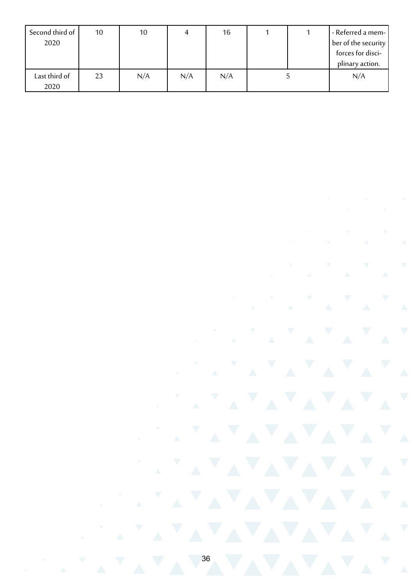| Second third of | 10 | 10  |     | 16  |  | - Referred a mem-   |
|-----------------|----|-----|-----|-----|--|---------------------|
| 2020            |    |     |     |     |  | ber of the security |
|                 |    |     |     |     |  | forces for disci-   |
|                 |    |     |     |     |  | plinary action.     |
| Last third of   | 23 | N/A | N/A | N/A |  | N/A                 |
| 2020            |    |     |     |     |  |                     |